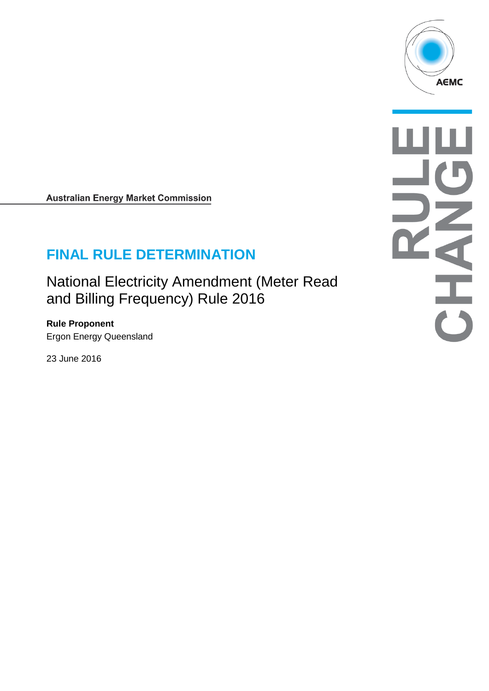

**Australian Energy Market Commission** 

# **FINAL RULE DETERMINATION**

National Electricity Amendment (Meter Read and Billing Frequency) Rule 2016

**Rule Proponent** Ergon Energy Queensland

23 June 2016

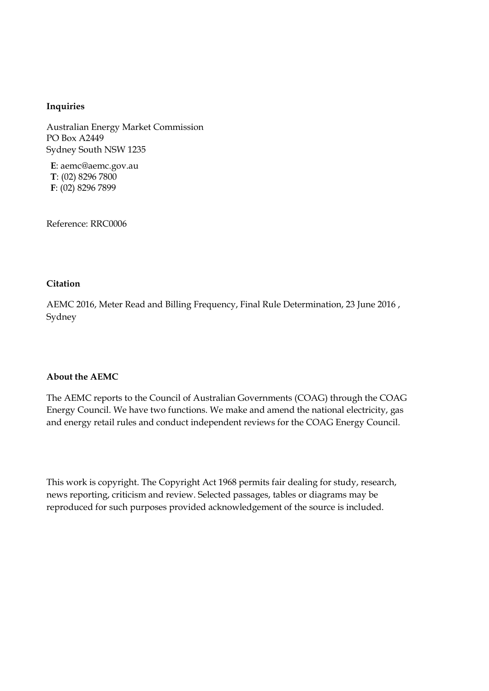#### **Inquiries**

Australian Energy Market Commission PO Box A2449 Sydney South NSW 1235

**E**: aemc@aemc.gov.au **T**: (02) 8296 7800 **F**: (02) 8296 7899

Reference: RRC0006

#### **Citation**

AEMC 2016, Meter Read and Billing Frequency, Final Rule Determination, 23 June 2016 , Sydney

#### **About the AEMC**

The AEMC reports to the Council of Australian Governments (COAG) through the COAG Energy Council. We have two functions. We make and amend the national electricity, gas and energy retail rules and conduct independent reviews for the COAG Energy Council.

This work is copyright. The Copyright Act 1968 permits fair dealing for study, research, news reporting, criticism and review. Selected passages, tables or diagrams may be reproduced for such purposes provided acknowledgement of the source is included.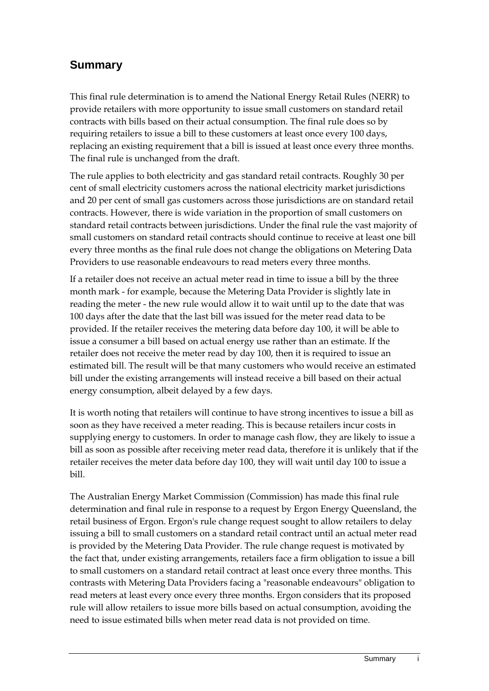## **Summary**

This final rule determination is to amend the National Energy Retail Rules (NERR) to provide retailers with more opportunity to issue small customers on standard retail contracts with bills based on their actual consumption. The final rule does so by requiring retailers to issue a bill to these customers at least once every 100 days, replacing an existing requirement that a bill is issued at least once every three months. The final rule is unchanged from the draft.

The rule applies to both electricity and gas standard retail contracts. Roughly 30 per cent of small electricity customers across the national electricity market jurisdictions and 20 per cent of small gas customers across those jurisdictions are on standard retail contracts. However, there is wide variation in the proportion of small customers on standard retail contracts between jurisdictions. Under the final rule the vast majority of small customers on standard retail contracts should continue to receive at least one bill every three months as the final rule does not change the obligations on Metering Data Providers to use reasonable endeavours to read meters every three months.

If a retailer does not receive an actual meter read in time to issue a bill by the three month mark - for example, because the Metering Data Provider is slightly late in reading the meter - the new rule would allow it to wait until up to the date that was 100 days after the date that the last bill was issued for the meter read data to be provided. If the retailer receives the metering data before day 100, it will be able to issue a consumer a bill based on actual energy use rather than an estimate. If the retailer does not receive the meter read by day 100, then it is required to issue an estimated bill. The result will be that many customers who would receive an estimated bill under the existing arrangements will instead receive a bill based on their actual energy consumption, albeit delayed by a few days.

It is worth noting that retailers will continue to have strong incentives to issue a bill as soon as they have received a meter reading. This is because retailers incur costs in supplying energy to customers. In order to manage cash flow, they are likely to issue a bill as soon as possible after receiving meter read data, therefore it is unlikely that if the retailer receives the meter data before day 100, they will wait until day 100 to issue a bill.

The Australian Energy Market Commission (Commission) has made this final rule determination and final rule in response to a request by Ergon Energy Queensland, the retail business of Ergon. Ergon's rule change request sought to allow retailers to delay issuing a bill to small customers on a standard retail contract until an actual meter read is provided by the Metering Data Provider. The rule change request is motivated by the fact that, under existing arrangements, retailers face a firm obligation to issue a bill to small customers on a standard retail contract at least once every three months. This contrasts with Metering Data Providers facing a "reasonable endeavours" obligation to read meters at least every once every three months. Ergon considers that its proposed rule will allow retailers to issue more bills based on actual consumption, avoiding the need to issue estimated bills when meter read data is not provided on time.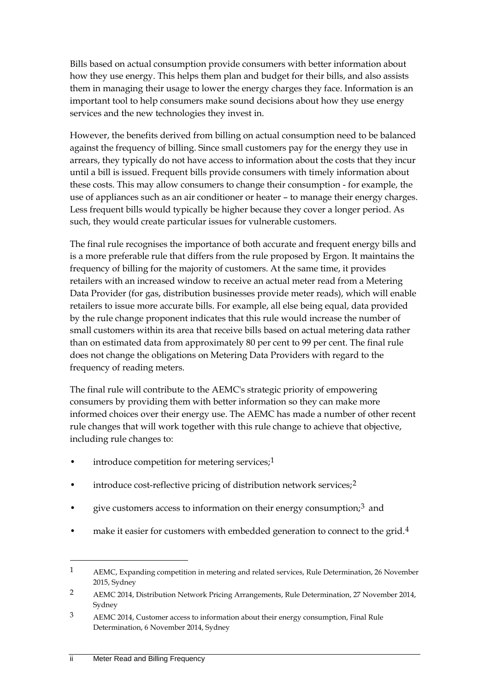Bills based on actual consumption provide consumers with better information about how they use energy. This helps them plan and budget for their bills, and also assists them in managing their usage to lower the energy charges they face. Information is an important tool to help consumers make sound decisions about how they use energy services and the new technologies they invest in.

However, the benefits derived from billing on actual consumption need to be balanced against the frequency of billing. Since small customers pay for the energy they use in arrears, they typically do not have access to information about the costs that they incur until a bill is issued. Frequent bills provide consumers with timely information about these costs. This may allow consumers to change their consumption - for example, the use of appliances such as an air conditioner or heater – to manage their energy charges. Less frequent bills would typically be higher because they cover a longer period. As such, they would create particular issues for vulnerable customers.

The final rule recognises the importance of both accurate and frequent energy bills and is a more preferable rule that differs from the rule proposed by Ergon. It maintains the frequency of billing for the majority of customers. At the same time, it provides retailers with an increased window to receive an actual meter read from a Metering Data Provider (for gas, distribution businesses provide meter reads), which will enable retailers to issue more accurate bills. For example, all else being equal, data provided by the rule change proponent indicates that this rule would increase the number of small customers within its area that receive bills based on actual metering data rather than on estimated data from approximately 80 per cent to 99 per cent. The final rule does not change the obligations on Metering Data Providers with regard to the frequency of reading meters.

The final rule will contribute to the AEMC's strategic priority of empowering consumers by providing them with better information so they can make more informed choices over their energy use. The AEMC has made a number of other recent rule changes that will work together with this rule change to achieve that objective, including rule changes to:

- introduce competition for metering services; $<sup>1</sup>$  $<sup>1</sup>$  $<sup>1</sup>$ </sup>
- introduce cost-reflective pricing of distribution network services;<sup>[2](#page-3-1)</sup>
- give customers access to information on their energy consumption;<sup>[3](#page-3-2)</sup> and
- make it easier for customers with embedded generation to connect to the grid.<sup>[4](#page-3-3)</sup>

<span id="page-3-0"></span><sup>1</sup> AEMC, Expanding competition in metering and related services, Rule Determination, 26 November 2015, Sydney

<span id="page-3-1"></span><sup>2</sup> AEMC 2014, Distribution Network Pricing Arrangements, Rule Determination, 27 November 2014, Sydney

<span id="page-3-3"></span><span id="page-3-2"></span><sup>3</sup> AEMC 2014, Customer access to information about their energy consumption, Final Rule Determination, 6 November 2014, Sydney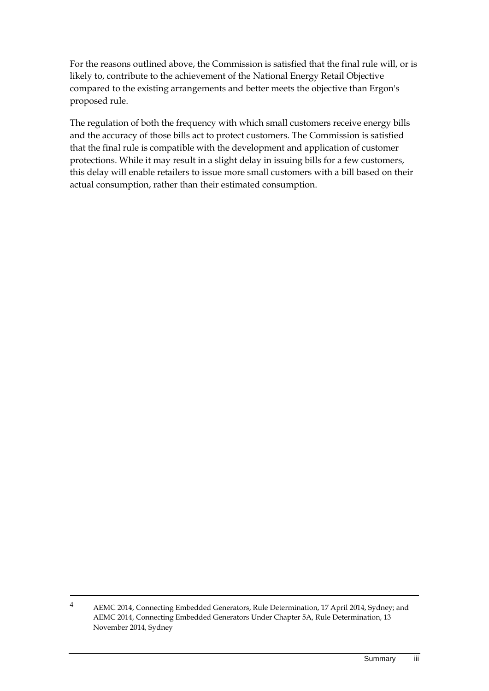For the reasons outlined above, the Commission is satisfied that the final rule will, or is likely to, contribute to the achievement of the National Energy Retail Objective compared to the existing arrangements and better meets the objective than Ergon's proposed rule.

The regulation of both the frequency with which small customers receive energy bills and the accuracy of those bills act to protect customers. The Commission is satisfied that the final rule is compatible with the development and application of customer protections. While it may result in a slight delay in issuing bills for a few customers, this delay will enable retailers to issue more small customers with a bill based on their actual consumption, rather than their estimated consumption.

<sup>4</sup> AEMC 2014, Connecting Embedded Generators, Rule Determination, 17 April 2014, Sydney; and AEMC 2014, Connecting Embedded Generators Under Chapter 5A, Rule Determination, 13 November 2014, Sydney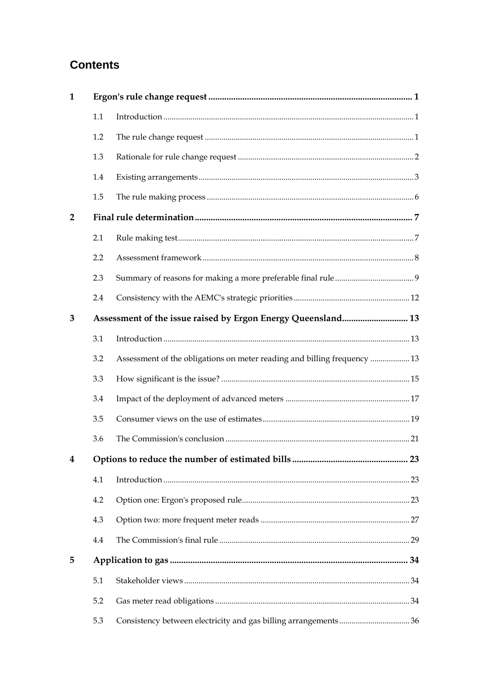## **Contents**

| $\mathbf{1}$   |     |                                                                          |    |
|----------------|-----|--------------------------------------------------------------------------|----|
|                | 1.1 |                                                                          |    |
|                | 1.2 |                                                                          |    |
|                | 1.3 |                                                                          |    |
|                | 1.4 |                                                                          |    |
|                | 1.5 |                                                                          |    |
| $\overline{2}$ |     |                                                                          |    |
|                | 2.1 |                                                                          |    |
|                | 2.2 |                                                                          |    |
|                | 2.3 |                                                                          |    |
|                | 2.4 |                                                                          |    |
| 3              |     | Assessment of the issue raised by Ergon Energy Queensland 13             |    |
|                | 3.1 |                                                                          |    |
|                | 3.2 | Assessment of the obligations on meter reading and billing frequency  13 |    |
|                | 3.3 |                                                                          |    |
|                | 3.4 |                                                                          |    |
|                | 3.5 |                                                                          |    |
|                | 3.6 |                                                                          |    |
| $\bf{4}$       |     | Options to reduce the number of estimated bills                          | 23 |
|                | 4.1 |                                                                          |    |
|                | 4.2 |                                                                          |    |
|                | 4.3 |                                                                          |    |
|                | 4.4 |                                                                          |    |
| 5              |     |                                                                          |    |
|                | 5.1 |                                                                          |    |
|                | 5.2 |                                                                          |    |
|                | 5.3 |                                                                          |    |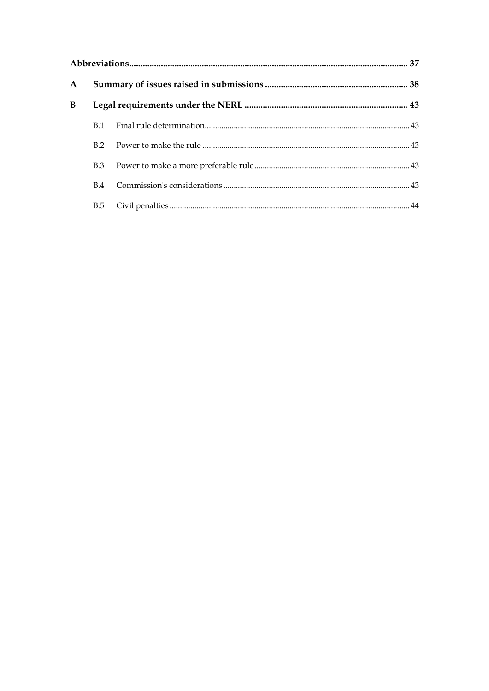| $\mathbf{A}$ |            |  |  |
|--------------|------------|--|--|
| B            |            |  |  |
|              | B.1        |  |  |
|              | B.2        |  |  |
|              | B.3        |  |  |
|              | B.4        |  |  |
|              | <b>B.5</b> |  |  |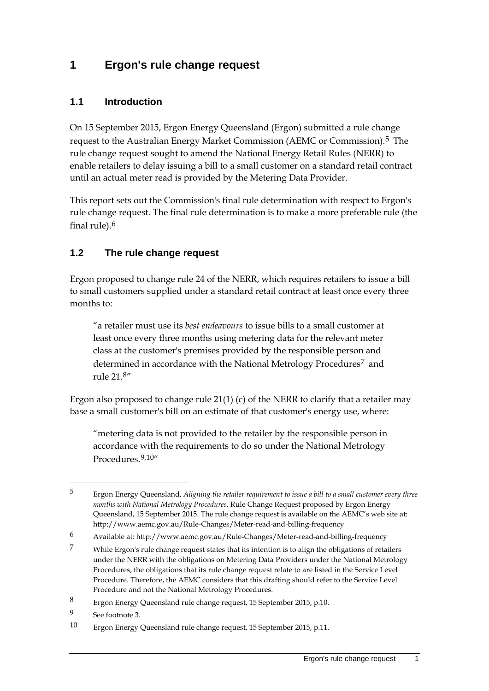### <span id="page-7-0"></span>**1 Ergon's rule change request**

### <span id="page-7-1"></span>**1.1 Introduction**

On 15 September 2015, Ergon Energy Queensland (Ergon) submitted a rule change request to the Australian Energy Market Commission (AEMC or Commission).[5](#page-7-3) The rule change request sought to amend the National Energy Retail Rules (NERR) to enable retailers to delay issuing a bill to a small customer on a standard retail contract until an actual meter read is provided by the Metering Data Provider.

This report sets out the Commission's final rule determination with respect to Ergon's rule change request. The final rule determination is to make a more preferable rule (the final rule).[6](#page-7-4)

### <span id="page-7-2"></span>**1.2 The rule change request**

Ergon proposed to change rule 24 of the NERR, which requires retailers to issue a bill to small customers supplied under a standard retail contract at least once every three months to:

"a retailer must use its *best endeavours* to issue bills to a small customer at least once every three months using metering data for the relevant meter class at the customer's premises provided by the responsible person and determined in accordance with the National Metrology Procedures<sup>[7](#page-7-5)</sup> and rule 21.[8](#page-7-6)"

Ergon also proposed to change rule 21(1) (c) of the NERR to clarify that a retailer may base a small customer's bill on an estimate of that customer's energy use, where:

"metering data is not provided to the retailer by the responsible person in accordance with the requirements to do so under the National Metrology Procedures<sup>[9](#page-7-7),[10](#page-7-8)"</sup>

<span id="page-7-3"></span><sup>5</sup> Ergon Energy Queensland, *Aligning the retailer requirement to issue a bill to a small customer every three months with National Metrology Procedures*, Rule Change Request proposed by Ergon Energy Queensland, 15 September 2015. The rule change request is available on the AEMC's web site at: http://www.aemc.gov.au/Rule-Changes/Meter-read-and-billing-frequency

<span id="page-7-4"></span><sup>6</sup> Available at: http://www.aemc.gov.au/Rule-Changes/Meter-read-and-billing-frequency

<span id="page-7-5"></span><sup>7</sup> While Ergon's rule change request states that its intention is to align the obligations of retailers under the NERR with the obligations on Metering Data Providers under the National Metrology Procedures, the obligations that its rule change request relate to are listed in the Service Level Procedure. Therefore, the AEMC considers that this drafting should refer to the Service Level Procedure and not the National Metrology Procedures.

<span id="page-7-6"></span><sup>8</sup> Ergon Energy Queensland rule change request, 15 September 2015, p.10.

<span id="page-7-7"></span><sup>9</sup> See footnote 3.

<span id="page-7-8"></span><sup>10</sup> Ergon Energy Queensland rule change request, 15 September 2015, p.11.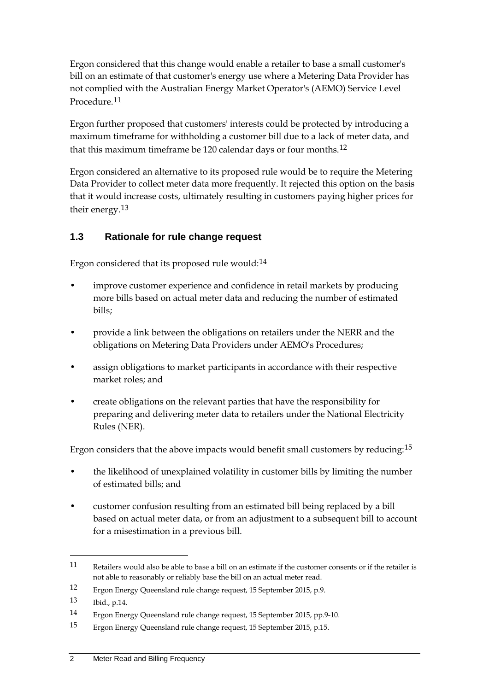Ergon considered that this change would enable a retailer to base a small customer's bill on an estimate of that customer's energy use where a Metering Data Provider has not complied with the Australian Energy Market Operator's (AEMO) Service Level Procedure.[11](#page-8-1)

Ergon further proposed that customers' interests could be protected by introducing a maximum timeframe for withholding a customer bill due to a lack of meter data, and that this maximum timeframe be [12](#page-8-2)0 calendar days or four months.<sup>12</sup>

Ergon considered an alternative to its proposed rule would be to require the Metering Data Provider to collect meter data more frequently. It rejected this option on the basis that it would increase costs, ultimately resulting in customers paying higher prices for their energy.<sup>[13](#page-8-3)</sup>

### <span id="page-8-0"></span>**1.3 Rationale for rule change request**

Ergon considered that its proposed rule would:<sup>[14](#page-8-4)</sup>

- improve customer experience and confidence in retail markets by producing more bills based on actual meter data and reducing the number of estimated bills;
- provide a link between the obligations on retailers under the NERR and the obligations on Metering Data Providers under AEMO's Procedures;
- assign obligations to market participants in accordance with their respective market roles; and
- create obligations on the relevant parties that have the responsibility for preparing and delivering meter data to retailers under the National Electricity Rules (NER).

Ergon considers that the above impacts would benefit small customers by reducing:[15](#page-8-5)

- the likelihood of unexplained volatility in customer bills by limiting the number of estimated bills; and
- customer confusion resulting from an estimated bill being replaced by a bill based on actual meter data, or from an adjustment to a subsequent bill to account for a misestimation in a previous bill.

<span id="page-8-1"></span><sup>11</sup> Retailers would also be able to base a bill on an estimate if the customer consents or if the retailer is not able to reasonably or reliably base the bill on an actual meter read.

<span id="page-8-2"></span><sup>12</sup> Ergon Energy Queensland rule change request, 15 September 2015, p.9.

<span id="page-8-3"></span><sup>13</sup> Ibid., p.14.

<span id="page-8-4"></span><sup>14</sup> Ergon Energy Queensland rule change request, 15 September 2015, pp.9-10.

<span id="page-8-5"></span><sup>15</sup> Ergon Energy Queensland rule change request, 15 September 2015, p.15.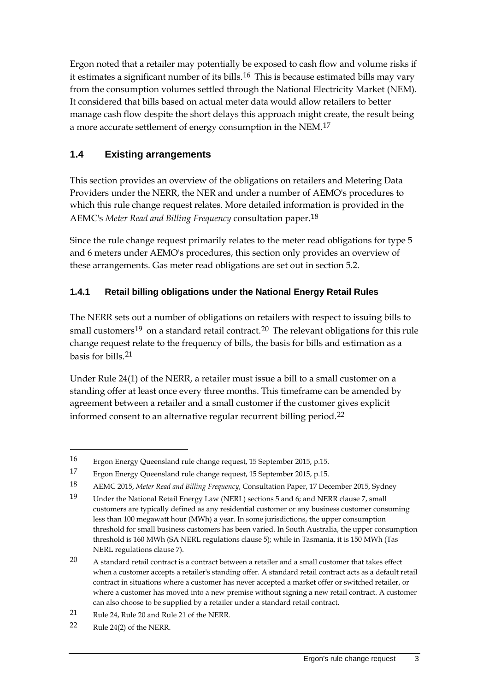Ergon noted that a retailer may potentially be exposed to cash flow and volume risks if it estimates a significant number of its bills.[16](#page-9-1) This is because estimated bills may vary from the consumption volumes settled through the National Electricity Market (NEM). It considered that bills based on actual meter data would allow retailers to better manage cash flow despite the short delays this approach might create, the result being a more accurate settlement of energy consumption in the NEM.<sup>[17](#page-9-2)</sup>

### <span id="page-9-0"></span>**1.4 Existing arrangements**

This section provides an overview of the obligations on retailers and Metering Data Providers under the NERR, the NER and under a number of AEMO's procedures to which this rule change request relates. More detailed information is provided in the AEMC's *Meter Read and Billing Frequency* consultation paper.[18](#page-9-3)

Since the rule change request primarily relates to the meter read obligations for type 5 and 6 meters under AEMO's procedures, this section only provides an overview of these arrangements. Gas meter read obligations are set out in section 5.2.

### **1.4.1 Retail billing obligations under the National Energy Retail Rules**

The NERR sets out a number of obligations on retailers with respect to issuing bills to small customers<sup>[19](#page-9-4)</sup> on a standard retail contract.<sup>[20](#page-9-5)</sup> The relevant obligations for this rule change request relate to the frequency of bills, the basis for bills and estimation as a basis for bills.[21](#page-9-6)

Under Rule 24(1) of the NERR, a retailer must issue a bill to a small customer on a standing offer at least once every three months. This timeframe can be amended by agreement between a retailer and a small customer if the customer gives explicit informed consent to an alternative regular recurrent billing period.<sup>[22](#page-9-7)</sup>

<span id="page-9-1"></span><sup>16</sup> Ergon Energy Queensland rule change request, 15 September 2015, p.15.

<span id="page-9-2"></span><sup>17</sup> Ergon Energy Queensland rule change request, 15 September 2015, p.15.

<span id="page-9-3"></span><sup>18</sup> AEMC 2015, *Meter Read and Billing Frequency*, Consultation Paper, 17 December 2015, Sydney

<span id="page-9-4"></span><sup>19</sup> Under the National Retail Energy Law (NERL) sections 5 and 6; and NERR clause 7, small customers are typically defined as any residential customer or any business customer consuming less than 100 megawatt hour (MWh) a year. In some jurisdictions, the upper consumption threshold for small business customers has been varied. In South Australia, the upper consumption threshold is 160 MWh (SA NERL regulations clause 5); while in Tasmania, it is 150 MWh (Tas NERL regulations clause 7).

<span id="page-9-5"></span><sup>20</sup> A standard retail contract is a contract between a retailer and a small customer that takes effect when a customer accepts a retailer's standing offer. A standard retail contract acts as a default retail contract in situations where a customer has never accepted a market offer or switched retailer, or where a customer has moved into a new premise without signing a new retail contract. A customer can also choose to be supplied by a retailer under a standard retail contract.

<span id="page-9-6"></span><sup>21</sup> Rule 24, Rule 20 and Rule 21 of the NERR.

<span id="page-9-7"></span><sup>22</sup> Rule 24(2) of the NERR.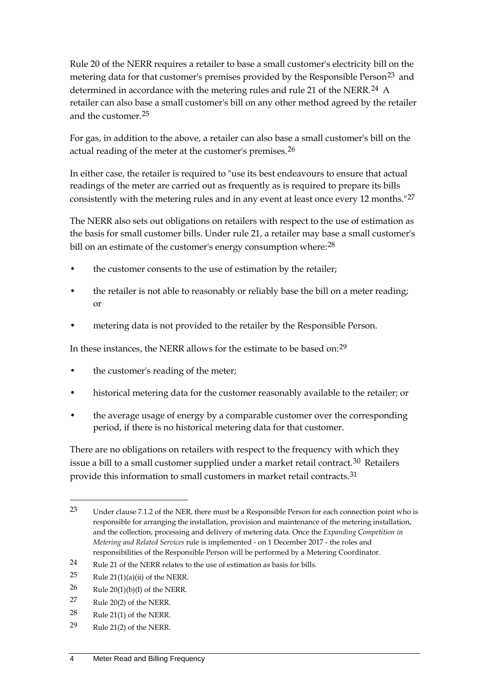Rule 20 of the NERR requires a retailer to base a small customer's electricity bill on the metering data for that customer's premises provided by the Responsible Person<sup>[23](#page-10-0)</sup> and determined in accordance with the metering rules and rule 21 of the NERR.<sup>[24](#page-10-1)</sup> A retailer can also base a small customer's bill on any other method agreed by the retailer and the customer.[25](#page-10-2)

For gas, in addition to the above, a retailer can also base a small customer's bill on the actual reading of the meter at the customer's premises.<sup>[26](#page-10-3)</sup>

In either case, the retailer is required to "use its best endeavours to ensure that actual readings of the meter are carried out as frequently as is required to prepare its bills consistently with the metering rules and in any event at least once every 12 months."[27](#page-10-4)

The NERR also sets out obligations on retailers with respect to the use of estimation as the basis for small customer bills. Under rule 21, a retailer may base a small customer's bill on an estimate of the customer's energy consumption where: <sup>[28](#page-10-5)</sup>

- the customer consents to the use of estimation by the retailer;
- the retailer is not able to reasonably or reliably base the bill on a meter reading; or
- metering data is not provided to the retailer by the Responsible Person.

<span id="page-10-7"></span>In these instances, the NERR allows for the estimate to be based on:[29](#page-10-6)

- the customer's reading of the meter;
- <span id="page-10-8"></span>• historical metering data for the customer reasonably available to the retailer; or
- the average usage of energy by a comparable customer over the corresponding period, if there is no historical metering data for that customer.

There are no obligations on retailers with respect to the frequency with which they issue a bill to a small customer supplied under a market retail contract.<sup>[30](#page-10-7)</sup> Retailers provide this information to small customers in market retail contracts.<sup>[31](#page-10-8)</sup>

- <span id="page-10-2"></span>25 Rule  $21(1)(a)(ii)$  of the NERR.
- <span id="page-10-3"></span>26 Rule 20(1)(b)(I) of the NERR.
- <span id="page-10-4"></span>27 Rule 20(2) of the NERR.

- <span id="page-10-5"></span>28 Rule 21(1) of the NERR.
- <span id="page-10-6"></span>29 Rule 21(2) of the NERR.

<span id="page-10-0"></span><sup>23</sup> Under clause 7.1.2 of the NER, there must be a Responsible Person for each connection point who is responsible for arranging the installation, provision and maintenance of the metering installation, and the collection, processing and delivery of metering data. Once the *Expanding Competition in Metering and Related Services* rule is implemented - on 1 December 2017 - the roles and responsibilities of the Responsible Person will be performed by a Metering Coordinator.

<span id="page-10-1"></span><sup>24</sup> Rule 21 of the NERR relates to the use of estimation as basis for bills.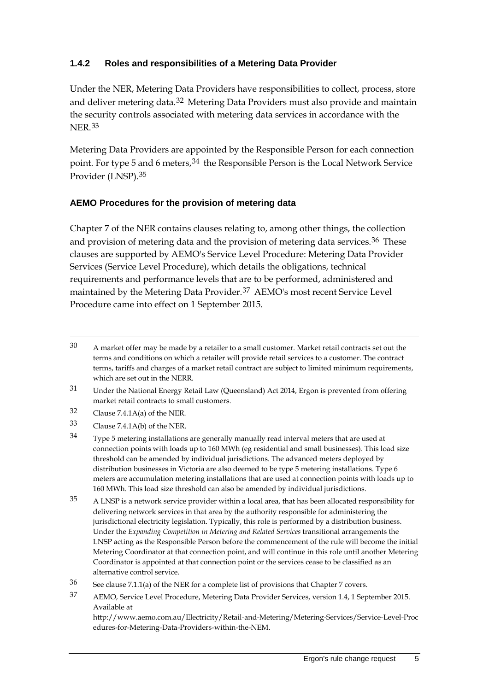### **1.4.2 Roles and responsibilities of a Metering Data Provider**

Under the NER, Metering Data Providers have responsibilities to collect, process, store and deliver metering data.<sup>[32](#page-11-0)</sup> Metering Data Providers must also provide and maintain the security controls associated with metering data services in accordance with the NER.[33](#page-11-1)

Metering Data Providers are appointed by the Responsible Person for each connection point. For type 5 and 6 meters, <sup>[34](#page-11-2)</sup> the Responsible Person is the Local Network Service Provider (LNSP).[35](#page-11-3)

#### **AEMO Procedures for the provision of metering data**

Chapter 7 of the NER contains clauses relating to, among other things, the collection and provision of metering data and the provision of metering data services.<sup>[36](#page-11-4)</sup> These clauses are supported by AEMO's Service Level Procedure: Metering Data Provider Services (Service Level Procedure), which details the obligations, technical requirements and performance levels that are to be performed, administered and maintained by the Metering Data Provider.[37](#page-11-5) AEMO's most recent Service Level Procedure came into effect on 1 September 2015.

<sup>30</sup> A market offer may be made by a retailer to a small customer. Market retail contracts set out the terms and conditions on which a retailer will provide retail services to a customer. The contract terms, tariffs and charges of a market retail contract are subject to limited minimum requirements, which are set out in the NERR.

<sup>31</sup> Under the National Energy Retail Law (Queensland) Act 2014, Ergon is prevented from offering market retail contracts to small customers.

<span id="page-11-0"></span> $32$  Clause 7.4.1A(a) of the NER.

<span id="page-11-1"></span><sup>33</sup> Clause 7.4.1A(b) of the NER.

<span id="page-11-2"></span><sup>34</sup> Type 5 metering installations are generally manually read interval meters that are used at connection points with loads up to 160 MWh (eg residential and small businesses). This load size threshold can be amended by individual jurisdictions. The advanced meters deployed by distribution businesses in Victoria are also deemed to be type 5 metering installations. Type 6 meters are accumulation metering installations that are used at connection points with loads up to 160 MWh. This load size threshold can also be amended by individual jurisdictions.

<span id="page-11-3"></span><sup>35</sup> A LNSP is a network service provider within a local area, that has been allocated responsibility for delivering network services in that area by the authority responsible for administering the jurisdictional electricity legislation. Typically, this role is performed by a distribution business. Under the *Expanding Competition in Metering and Related Services* transitional arrangements the LNSP acting as the Responsible Person before the commencement of the rule will become the initial Metering Coordinator at that connection point, and will continue in this role until another Metering Coordinator is appointed at that connection point or the services cease to be classified as an alternative control service.

<span id="page-11-4"></span> $36$  See clause 7.1.1(a) of the NER for a complete list of provisions that Chapter 7 covers.

<span id="page-11-5"></span><sup>37</sup> AEMO, Service Level Procedure, Metering Data Provider Services, version 1.4, 1 September 2015. Available at

http://www.aemo.com.au/Electricity/Retail-and-Metering/Metering-Services/Service-Level-Proc edures-for-Metering-Data-Providers-within-the-NEM.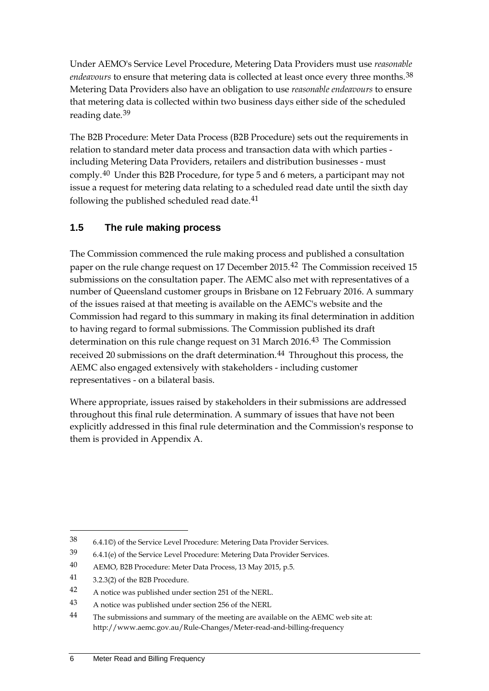Under AEMO's Service Level Procedure, Metering Data Providers must use *reasonable endeavours* to ensure that metering data is collected at least once every three months.<sup>[38](#page-12-1)</sup> Metering Data Providers also have an obligation to use *reasonable endeavours* to ensure that metering data is collected within two business days either side of the scheduled reading date.[39](#page-12-2)

The B2B Procedure: Meter Data Process (B2B Procedure) sets out the requirements in relation to standard meter data process and transaction data with which parties including Metering Data Providers, retailers and distribution businesses - must comply.[40](#page-12-3) Under this B2B Procedure, for type 5 and 6 meters, a participant may not issue a request for metering data relating to a scheduled read date until the sixth day following the published scheduled read date.<sup>[41](#page-12-4)</sup>

### <span id="page-12-0"></span>**1.5 The rule making process**

The Commission commenced the rule making process and published a consultation paper on the rule change request on 17 December 2015.<sup>[42](#page-12-5)</sup> The Commission received 15 submissions on the consultation paper. The AEMC also met with representatives of a number of Queensland customer groups in Brisbane on 12 February 2016. A summary of the issues raised at that meeting is available on the AEMC's website and the Commission had regard to this summary in making its final determination in addition to having regard to formal submissions. The Commission published its draft determination on this rule change request on 31 March 2016.<sup>[43](#page-12-6)</sup> The Commission received 20 submissions on the draft determination.<sup>[44](#page-12-7)</sup> Throughout this process, the AEMC also engaged extensively with stakeholders - including customer representatives - on a bilateral basis.

Where appropriate, issues raised by stakeholders in their submissions are addressed throughout this final rule determination. A summary of issues that have not been explicitly addressed in this final rule determination and the Commission's response to them is provided in Appendix [A.](#page-44-0)

<span id="page-12-4"></span>41 3.2.3(2) of the B2B Procedure.

<span id="page-12-1"></span><sup>38</sup> 6.4.1©) of the Service Level Procedure: Metering Data Provider Services.

<span id="page-12-2"></span><sup>39</sup> 6.4.1(e) of the Service Level Procedure: Metering Data Provider Services.

<span id="page-12-3"></span><sup>40</sup> AEMO, B2B Procedure: Meter Data Process, 13 May 2015, p.5.

<span id="page-12-5"></span><sup>42</sup> A notice was published under section 251 of the NERL.

<span id="page-12-6"></span><sup>43</sup> A notice was published under section 256 of the NERL

<span id="page-12-7"></span><sup>&</sup>lt;sup>44</sup> The submissions and summary of the meeting are available on the AEMC web site at: http://www.aemc.gov.au/Rule-Changes/Meter-read-and-billing-frequency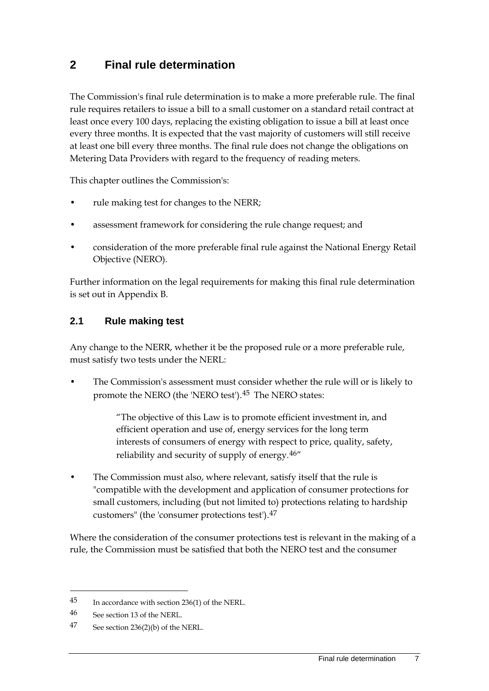### <span id="page-13-0"></span>**2 Final rule determination**

The Commission's final rule determination is to make a more preferable rule. The final rule requires retailers to issue a bill to a small customer on a standard retail contract at least once every 100 days, replacing the existing obligation to issue a bill at least once every three months. It is expected that the vast majority of customers will still receive at least one bill every three months. The final rule does not change the obligations on Metering Data Providers with regard to the frequency of reading meters.

This chapter outlines the Commission's:

- rule making test for changes to the NERR;
- assessment framework for considering the rule change request; and
- consideration of the more preferable final rule against the National Energy Retail Objective (NERO).

Further information on the legal requirements for making this final rule determination is set out in Appendix [B.](#page-49-0)

### <span id="page-13-1"></span>**2.1 Rule making test**

Any change to the NERR, whether it be the proposed rule or a more preferable rule, must satisfy two tests under the NERL:

• The Commission's assessment must consider whether the rule will or is likely to promote the NERO (the 'NERO test').[45](#page-13-2) The NERO states:

> "The objective of this Law is to promote efficient investment in, and efficient operation and use of, energy services for the long term interests of consumers of energy with respect to price, quality, safety, reliability and security of supply of energy.[46"](#page-13-3)

• The Commission must also, where relevant, satisfy itself that the rule is "compatible with the development and application of consumer protections for small customers, including (but not limited to) protections relating to hardship customers" (the 'consumer protections test').[47](#page-13-4)

Where the consideration of the consumer protections test is relevant in the making of a rule, the Commission must be satisfied that both the NERO test and the consumer

<span id="page-13-2"></span><sup>45</sup> In accordance with section 236(1) of the NERL.

<span id="page-13-3"></span><sup>46</sup> See section 13 of the NERL.

<span id="page-13-4"></span><sup>47</sup> See section 236(2)(b) of the NERL.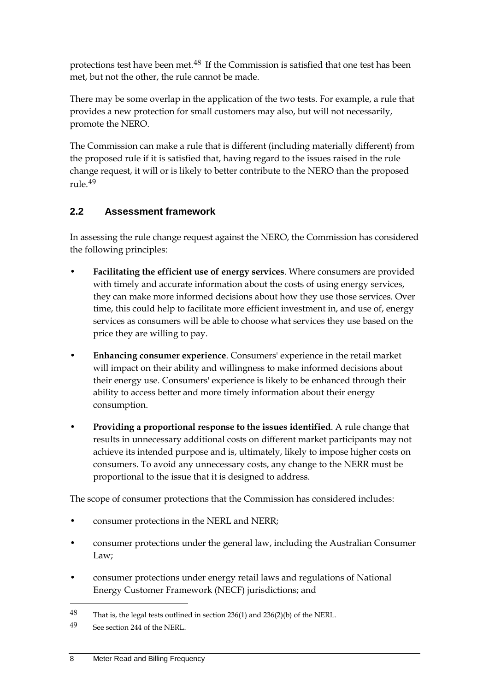protections test have been met.<sup>[48](#page-14-1)</sup> If the Commission is satisfied that one test has been met, but not the other, the rule cannot be made.

There may be some overlap in the application of the two tests. For example, a rule that provides a new protection for small customers may also, but will not necessarily, promote the NERO.

The Commission can make a rule that is different (including materially different) from the proposed rule if it is satisfied that, having regard to the issues raised in the rule change request, it will or is likely to better contribute to the NERO than the proposed rule.[49](#page-14-2)

### <span id="page-14-0"></span>**2.2 Assessment framework**

In assessing the rule change request against the NERO, the Commission has considered the following principles:

- **Facilitating the efficient use of energy services**. Where consumers are provided with timely and accurate information about the costs of using energy services, they can make more informed decisions about how they use those services. Over time, this could help to facilitate more efficient investment in, and use of, energy services as consumers will be able to choose what services they use based on the price they are willing to pay.
- **Enhancing consumer experience**. Consumers' experience in the retail market will impact on their ability and willingness to make informed decisions about their energy use. Consumers' experience is likely to be enhanced through their ability to access better and more timely information about their energy consumption.
- **Providing a proportional response to the issues identified**. A rule change that results in unnecessary additional costs on different market participants may not achieve its intended purpose and is, ultimately, likely to impose higher costs on consumers. To avoid any unnecessary costs, any change to the NERR must be proportional to the issue that it is designed to address.

The scope of consumer protections that the Commission has considered includes:

- consumer protections in the NERL and NERR;
- consumer protections under the general law, including the Australian Consumer Law;
- consumer protections under energy retail laws and regulations of National Energy Customer Framework (NECF) jurisdictions; and

<u>.</u>

<span id="page-14-1"></span><sup>48</sup> That is, the legal tests outlined in section 236(1) and 236(2)(b) of the NERL.

<span id="page-14-2"></span><sup>49</sup> See section 244 of the NERL.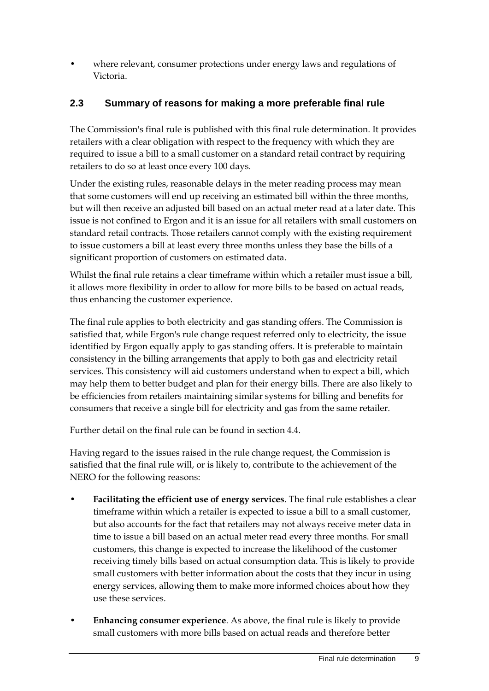where relevant, consumer protections under energy laws and regulations of Victoria.

### <span id="page-15-0"></span>**2.3 Summary of reasons for making a more preferable final rule**

The Commission's final rule is published with this final rule determination. It provides retailers with a clear obligation with respect to the frequency with which they are required to issue a bill to a small customer on a standard retail contract by requiring retailers to do so at least once every 100 days.

Under the existing rules, reasonable delays in the meter reading process may mean that some customers will end up receiving an estimated bill within the three months, but will then receive an adjusted bill based on an actual meter read at a later date. This issue is not confined to Ergon and it is an issue for all retailers with small customers on standard retail contracts. Those retailers cannot comply with the existing requirement to issue customers a bill at least every three months unless they base the bills of a significant proportion of customers on estimated data.

Whilst the final rule retains a clear timeframe within which a retailer must issue a bill, it allows more flexibility in order to allow for more bills to be based on actual reads, thus enhancing the customer experience.

The final rule applies to both electricity and gas standing offers. The Commission is satisfied that, while Ergon's rule change request referred only to electricity, the issue identified by Ergon equally apply to gas standing offers. It is preferable to maintain consistency in the billing arrangements that apply to both gas and electricity retail services. This consistency will aid customers understand when to expect a bill, which may help them to better budget and plan for their energy bills. There are also likely to be efficiencies from retailers maintaining similar systems for billing and benefits for consumers that receive a single bill for electricity and gas from the same retailer.

Further detail on the final rule can be found in section 4.4.

Having regard to the issues raised in the rule change request, the Commission is satisfied that the final rule will, or is likely to, contribute to the achievement of the NERO for the following reasons:

- **Facilitating the efficient use of energy services**. The final rule establishes a clear timeframe within which a retailer is expected to issue a bill to a small customer, but also accounts for the fact that retailers may not always receive meter data in time to issue a bill based on an actual meter read every three months. For small customers, this change is expected to increase the likelihood of the customer receiving timely bills based on actual consumption data. This is likely to provide small customers with better information about the costs that they incur in using energy services, allowing them to make more informed choices about how they use these services.
- **Enhancing consumer experience**. As above, the final rule is likely to provide small customers with more bills based on actual reads and therefore better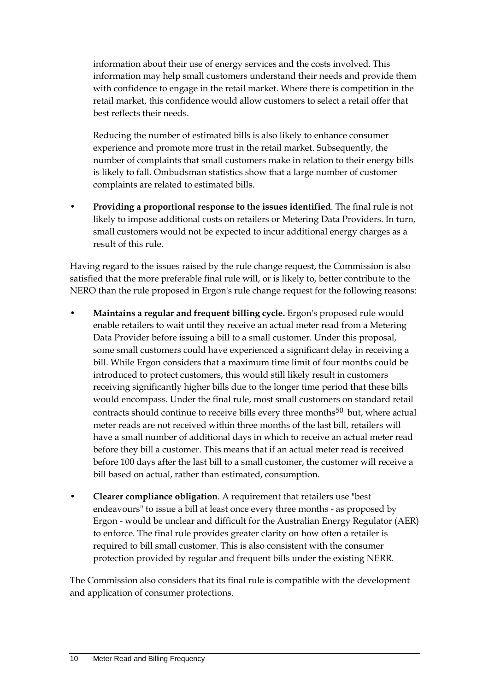information about their use of energy services and the costs involved. This information may help small customers understand their needs and provide them with confidence to engage in the retail market. Where there is competition in the retail market, this confidence would allow customers to select a retail offer that best reflects their needs.

Reducing the number of estimated bills is also likely to enhance consumer experience and promote more trust in the retail market. Subsequently, the number of complaints that small customers make in relation to their energy bills is likely to fall. Ombudsman statistics show that a large number of customer complaints are related to estimated bills.

• **Providing a proportional response to the issues identified**. The final rule is not likely to impose additional costs on retailers or Metering Data Providers. In turn, small customers would not be expected to incur additional energy charges as a result of this rule.

Having regard to the issues raised by the rule change request, the Commission is also satisfied that the more preferable final rule will, or is likely to, better contribute to the NERO than the rule proposed in Ergon's rule change request for the following reasons:

- **Maintains a regular and frequent billing cycle.** Ergon's proposed rule would enable retailers to wait until they receive an actual meter read from a Metering Data Provider before issuing a bill to a small customer. Under this proposal, some small customers could have experienced a significant delay in receiving a bill. While Ergon considers that a maximum time limit of four months could be introduced to protect customers, this would still likely result in customers receiving significantly higher bills due to the longer time period that these bills would encompass. Under the final rule, most small customers on standard retail contracts should continue to receive bills every three months<sup>[50](#page-16-0)</sup> but, where actual meter reads are not received within three months of the last bill, retailers will have a small number of additional days in which to receive an actual meter read before they bill a customer. This means that if an actual meter read is received before 100 days after the last bill to a small customer, the customer will receive a bill based on actual, rather than estimated, consumption.
- **Clearer compliance obligation**. A requirement that retailers use "best endeavours" to issue a bill at least once every three months - as proposed by Ergon - would be unclear and difficult for the Australian Energy Regulator (AER) to enforce. The final rule provides greater clarity on how often a retailer is required to bill small customer. This is also consistent with the consumer protection provided by regular and frequent bills under the existing NERR.

<span id="page-16-0"></span>The Commission also considers that its final rule is compatible with the development and application of consumer protections.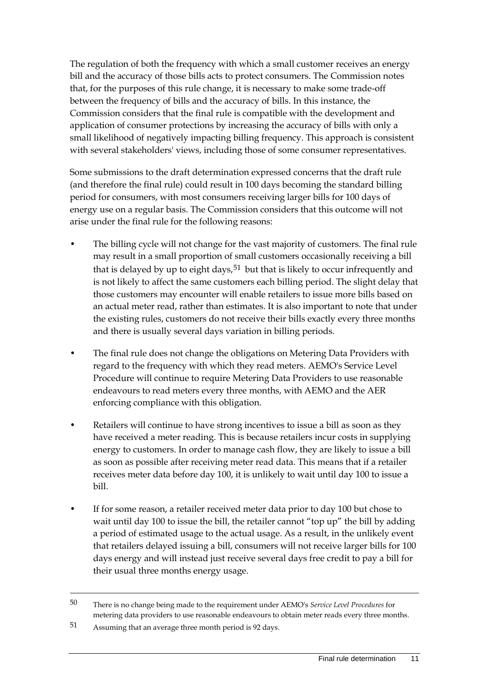The regulation of both the frequency with which a small customer receives an energy bill and the accuracy of those bills acts to protect consumers. The Commission notes that, for the purposes of this rule change, it is necessary to make some trade-off between the frequency of bills and the accuracy of bills. In this instance, the Commission considers that the final rule is compatible with the development and application of consumer protections by increasing the accuracy of bills with only a small likelihood of negatively impacting billing frequency. This approach is consistent with several stakeholders' views, including those of some consumer representatives.

Some submissions to the draft determination expressed concerns that the draft rule (and therefore the final rule) could result in 100 days becoming the standard billing period for consumers, with most consumers receiving larger bills for 100 days of energy use on a regular basis. The Commission considers that this outcome will not arise under the final rule for the following reasons:

- The billing cycle will not change for the vast majority of customers. The final rule may result in a small proportion of small customers occasionally receiving a bill that is delayed by up to eight days,  $51$  but that is likely to occur infrequently and is not likely to affect the same customers each billing period. The slight delay that those customers may encounter will enable retailers to issue more bills based on an actual meter read, rather than estimates. It is also important to note that under the existing rules, customers do not receive their bills exactly every three months and there is usually several days variation in billing periods.
- The final rule does not change the obligations on Metering Data Providers with regard to the frequency with which they read meters. AEMO's Service Level Procedure will continue to require Metering Data Providers to use reasonable endeavours to read meters every three months, with AEMO and the AER enforcing compliance with this obligation.
- Retailers will continue to have strong incentives to issue a bill as soon as they have received a meter reading. This is because retailers incur costs in supplying energy to customers. In order to manage cash flow, they are likely to issue a bill as soon as possible after receiving meter read data. This means that if a retailer receives meter data before day 100, it is unlikely to wait until day 100 to issue a bill.
- If for some reason, a retailer received meter data prior to day 100 but chose to wait until day 100 to issue the bill, the retailer cannot "top up" the bill by adding a period of estimated usage to the actual usage. As a result, in the unlikely event that retailers delayed issuing a bill, consumers will not receive larger bills for 100 days energy and will instead just receive several days free credit to pay a bill for their usual three months energy usage.

<sup>50</sup> There is no change being made to the requirement under AEMO's *Service Level Procedures* for metering data providers to use reasonable endeavours to obtain meter reads every three months.

<span id="page-17-0"></span><sup>51</sup> Assuming that an average three month period is 92 days.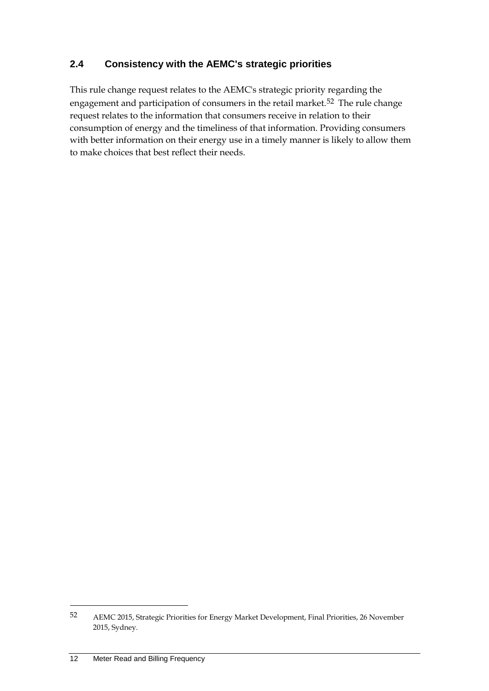### <span id="page-18-0"></span>**2.4 Consistency with the AEMC's strategic priorities**

This rule change request relates to the AEMC's strategic priority regarding the engagement and participation of consumers in the retail market.<sup>[52](#page-18-1)</sup> The rule change request relates to the information that consumers receive in relation to their consumption of energy and the timeliness of that information. Providing consumers with better information on their energy use in a timely manner is likely to allow them to make choices that best reflect their needs.

<u>.</u>

<span id="page-18-1"></span><sup>52</sup> AEMC 2015, Strategic Priorities for Energy Market Development, Final Priorities, 26 November 2015, Sydney.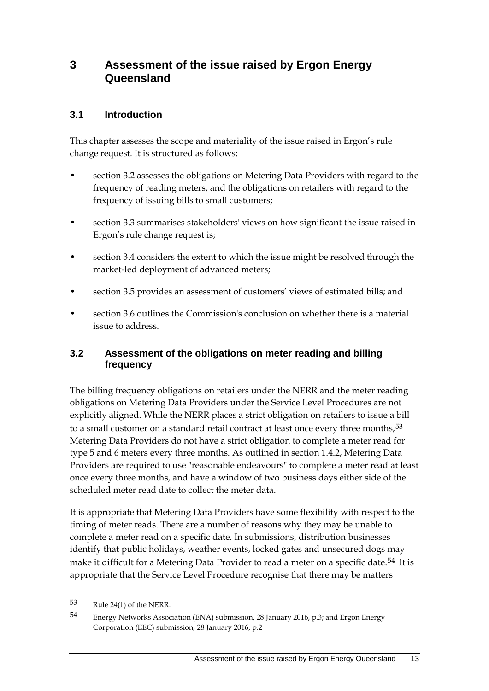### <span id="page-19-0"></span>**3 Assessment of the issue raised by Ergon Energy Queensland**

### <span id="page-19-1"></span>**3.1 Introduction**

This chapter assesses the scope and materiality of the issue raised in Ergon's rule change request. It is structured as follows:

- section 3.2 assesses the obligations on Metering Data Providers with regard to the frequency of reading meters, and the obligations on retailers with regard to the frequency of issuing bills to small customers;
- section 3.3 summarises stakeholders' views on how significant the issue raised in Ergon's rule change request is;
- section 3.4 considers the extent to which the issue might be resolved through the market-led deployment of advanced meters;
- section 3.5 provides an assessment of customers' views of estimated bills; and
- section 3.6 outlines the Commission's conclusion on whether there is a material issue to address.

### <span id="page-19-2"></span>**3.2 Assessment of the obligations on meter reading and billing frequency**

The billing frequency obligations on retailers under the NERR and the meter reading obligations on Metering Data Providers under the Service Level Procedures are not explicitly aligned. While the NERR places a strict obligation on retailers to issue a bill to a small customer on a standard retail contract at least once every three months,  $53$ Metering Data Providers do not have a strict obligation to complete a meter read for type 5 and 6 meters every three months. As outlined in section 1.4.2, Metering Data Providers are required to use "reasonable endeavours" to complete a meter read at least once every three months, and have a window of two business days either side of the scheduled meter read date to collect the meter data.

It is appropriate that Metering Data Providers have some flexibility with respect to the timing of meter reads. There are a number of reasons why they may be unable to complete a meter read on a specific date. In submissions, distribution businesses identify that public holidays, weather events, locked gates and unsecured dogs may make it difficult for a Metering Data Provider to read a meter on a specific date.<sup>[54](#page-19-4)</sup> It is appropriate that the Service Level Procedure recognise that there may be matters

<span id="page-19-3"></span><sup>53</sup> Rule 24(1) of the NERR.

<span id="page-19-4"></span><sup>54</sup> Energy Networks Association (ENA) submission, 28 January 2016, p.3; and Ergon Energy Corporation (EEC) submission, 28 January 2016, p.2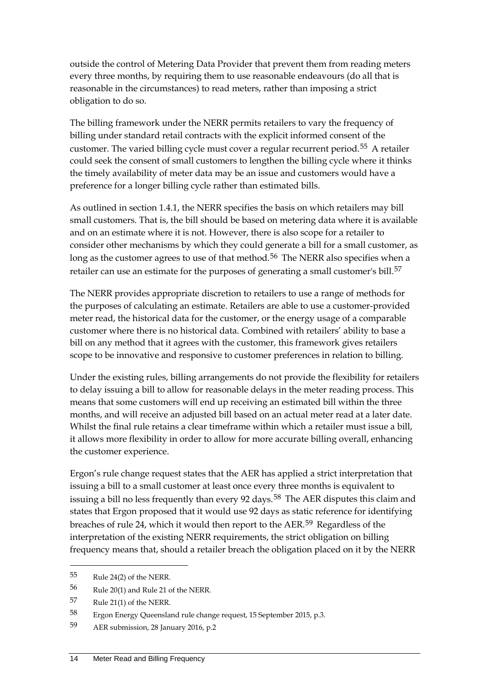outside the control of Metering Data Provider that prevent them from reading meters every three months, by requiring them to use reasonable endeavours (do all that is reasonable in the circumstances) to read meters, rather than imposing a strict obligation to do so.

The billing framework under the NERR permits retailers to vary the frequency of billing under standard retail contracts with the explicit informed consent of the customer. The varied billing cycle must cover a regular recurrent period.[55](#page-20-0) A retailer could seek the consent of small customers to lengthen the billing cycle where it thinks the timely availability of meter data may be an issue and customers would have a preference for a longer billing cycle rather than estimated bills.

As outlined in section 1.4.1, the NERR specifies the basis on which retailers may bill small customers. That is, the bill should be based on metering data where it is available and on an estimate where it is not. However, there is also scope for a retailer to consider other mechanisms by which they could generate a bill for a small customer, as long as the customer agrees to use of that method.<sup>[56](#page-20-1)</sup> The NERR also specifies when a retailer can use an estimate for the purposes of generating a small customer's bill.<sup>[57](#page-20-2)</sup>

The NERR provides appropriate discretion to retailers to use a range of methods for the purposes of calculating an estimate. Retailers are able to use a customer-provided meter read, the historical data for the customer, or the energy usage of a comparable customer where there is no historical data. Combined with retailers' ability to base a bill on any method that it agrees with the customer, this framework gives retailers scope to be innovative and responsive to customer preferences in relation to billing.

Under the existing rules, billing arrangements do not provide the flexibility for retailers to delay issuing a bill to allow for reasonable delays in the meter reading process. This means that some customers will end up receiving an estimated bill within the three months, and will receive an adjusted bill based on an actual meter read at a later date. Whilst the final rule retains a clear timeframe within which a retailer must issue a bill, it allows more flexibility in order to allow for more accurate billing overall, enhancing the customer experience.

Ergon's rule change request states that the AER has applied a strict interpretation that issuing a bill to a small customer at least once every three months is equivalent to issuing a bill no less frequently than every 92 days.<sup>[58](#page-20-3)</sup> The AER disputes this claim and states that Ergon proposed that it would use 92 days as static reference for identifying breaches of rule 24, which it would then report to the AER.[59](#page-20-4) Regardless of the interpretation of the existing NERR requirements, the strict obligation on billing frequency means that, should a retailer breach the obligation placed on it by the NERR

<span id="page-20-0"></span><sup>55</sup> Rule 24(2) of the NERR.

<span id="page-20-1"></span><sup>56</sup> Rule 20(1) and Rule 21 of the NERR.

<span id="page-20-2"></span><sup>57</sup> Rule 21(1) of the NERR.

<span id="page-20-3"></span><sup>58</sup> Ergon Energy Queensland rule change request, 15 September 2015, p.3.

<span id="page-20-4"></span><sup>59</sup> AER submission, 28 January 2016, p.2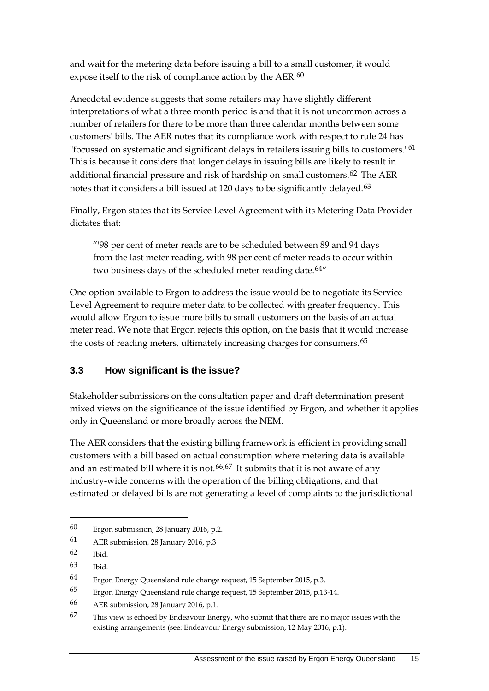and wait for the metering data before issuing a bill to a small customer, it would expose itself to the risk of compliance action by the AER.<sup>[60](#page-21-1)</sup>

Anecdotal evidence suggests that some retailers may have slightly different interpretations of what a three month period is and that it is not uncommon across a number of retailers for there to be more than three calendar months between some customers' bills. The AER notes that its compliance work with respect to rule 24 has "focussed on systematic and significant delays in retailers issuing bills to customers."<sup>[61](#page-21-2)</sup> This is because it considers that longer delays in issuing bills are likely to result in additional financial pressure and risk of hardship on small customers.<sup>[62](#page-21-3)</sup> The AER notes that it considers a bill issued at 120 days to be significantly delayed.<sup>[63](#page-21-4)</sup>

Finally, Ergon states that its Service Level Agreement with its Metering Data Provider dictates that:

"'98 per cent of meter reads are to be scheduled between 89 and 94 days from the last meter reading, with 98 per cent of meter reads to occur within two business days of the scheduled meter reading date.<sup>[64"](#page-21-5)</sup>

One option available to Ergon to address the issue would be to negotiate its Service Level Agreement to require meter data to be collected with greater frequency. This would allow Ergon to issue more bills to small customers on the basis of an actual meter read. We note that Ergon rejects this option, on the basis that it would increase the costs of reading meters, ultimately increasing charges for consumers.<sup>[65](#page-21-6)</sup>

### <span id="page-21-0"></span>**3.3 How significant is the issue?**

Stakeholder submissions on the consultation paper and draft determination present mixed views on the significance of the issue identified by Ergon, and whether it applies only in Queensland or more broadly across the NEM.

The AER considers that the existing billing framework is efficient in providing small customers with a bill based on actual consumption where metering data is available and an estimated bill where it is not.<sup>[66,](#page-21-7)[67](#page-21-8)</sup> It submits that it is not aware of any industry-wide concerns with the operation of the billing obligations, and that estimated or delayed bills are not generating a level of complaints to the jurisdictional

<span id="page-21-1"></span><sup>60</sup> Ergon submission, 28 January 2016, p.2.

<span id="page-21-2"></span><sup>61</sup> AER submission, 28 January 2016, p.3

<span id="page-21-3"></span><sup>62</sup> Ibid.

<span id="page-21-4"></span><sup>63</sup> Ibid.

<span id="page-21-5"></span><sup>64</sup> Ergon Energy Queensland rule change request, 15 September 2015, p.3.

<span id="page-21-6"></span><sup>65</sup> Ergon Energy Queensland rule change request, 15 September 2015, p.13-14.

<span id="page-21-7"></span><sup>66</sup> AER submission, 28 January 2016, p.1.

<span id="page-21-8"></span><sup>67</sup> This view is echoed by Endeavour Energy, who submit that there are no major issues with the existing arrangements (see: Endeavour Energy submission, 12 May 2016, p.1).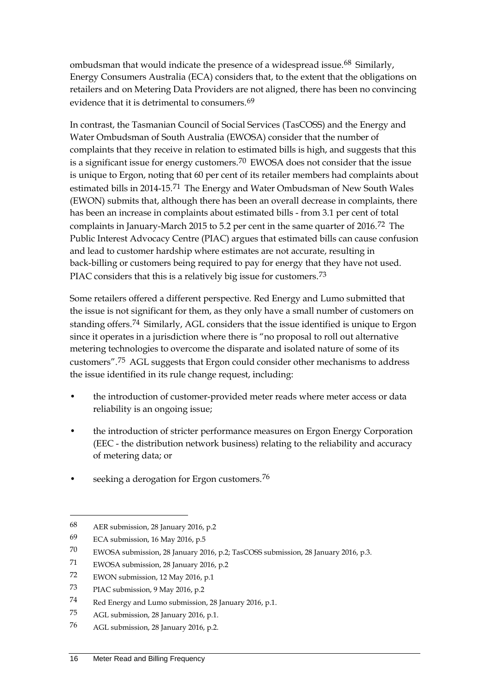ombudsman that would indicate the presence of a widespread issue.<sup>[68](#page-22-0)</sup> Similarly, Energy Consumers Australia (ECA) considers that, to the extent that the obligations on retailers and on Metering Data Providers are not aligned, there has been no convincing evidence that it is detrimental to consumers.<sup>[69](#page-22-1)</sup>

In contrast, the Tasmanian Council of Social Services (TasCOSS) and the Energy and Water Ombudsman of South Australia (EWOSA) consider that the number of complaints that they receive in relation to estimated bills is high, and suggests that this is a significant issue for energy customers.<sup>[70](#page-22-2)</sup> EWOSA does not consider that the issue is unique to Ergon, noting that 60 per cent of its retailer members had complaints about estimated bills in 2014-15.[71](#page-22-3) The Energy and Water Ombudsman of New South Wales (EWON) submits that, although there has been an overall decrease in complaints, there has been an increase in complaints about estimated bills - from 3.1 per cent of total complaints in January-March 2015 to 5.2 per cent in the same quarter of 2016.[72](#page-22-4) The Public Interest Advocacy Centre (PIAC) argues that estimated bills can cause confusion and lead to customer hardship where estimates are not accurate, resulting in back-billing or customers being required to pay for energy that they have not used. PIAC considers that this is a relatively big issue for customers.<sup>[73](#page-22-5)</sup>

Some retailers offered a different perspective. Red Energy and Lumo submitted that the issue is not significant for them, as they only have a small number of customers on standing offers.[74](#page-22-6) Similarly, AGL considers that the issue identified is unique to Ergon since it operates in a jurisdiction where there is "no proposal to roll out alternative metering technologies to overcome the disparate and isolated nature of some of its customers".[75](#page-22-7) AGL suggests that Ergon could consider other mechanisms to address the issue identified in its rule change request, including:

- the introduction of customer-provided meter reads where meter access or data reliability is an ongoing issue;
- the introduction of stricter performance measures on Ergon Energy Corporation (EEC - the distribution network business) relating to the reliability and accuracy of metering data; or
- seeking a derogation for Ergon customers.<sup>[76](#page-22-8)</sup>

<span id="page-22-0"></span><sup>68</sup> AER submission, 28 January 2016, p.2

<span id="page-22-1"></span><sup>69</sup> ECA submission, 16 May 2016, p.5

<span id="page-22-2"></span><sup>70</sup> EWOSA submission, 28 January 2016, p.2; TasCOSS submission, 28 January 2016, p.3.

<span id="page-22-3"></span><sup>71</sup> EWOSA submission, 28 January 2016, p.2

<span id="page-22-4"></span><sup>72</sup> EWON submission, 12 May 2016, p.1

<span id="page-22-5"></span><sup>73</sup> PIAC submission, 9 May 2016, p.2

<span id="page-22-6"></span><sup>74</sup> Red Energy and Lumo submission, 28 January 2016, p.1.

<span id="page-22-7"></span><sup>75</sup> AGL submission, 28 January 2016, p.1.

<span id="page-22-8"></span><sup>76</sup> AGL submission, 28 January 2016, p.2.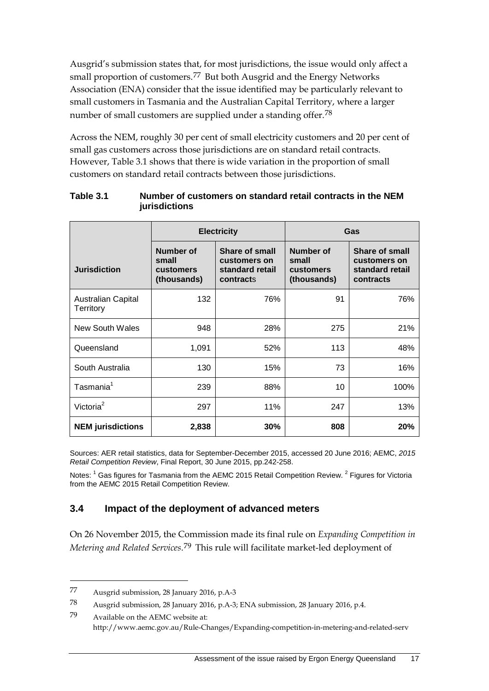Ausgrid's submission states that, for most jurisdictions, the issue would only affect a small proportion of customers.[77](#page-23-1) But both Ausgrid and the Energy Networks Association (ENA) consider that the issue identified may be particularly relevant to small customers in Tasmania and the Australian Capital Territory, where a larger number of small customers are supplied under a standing offer.[78](#page-23-2)

Across the NEM, roughly 30 per cent of small electricity customers and 20 per cent of small gas customers across those jurisdictions are on standard retail contracts. However, Table 3.1 shows that there is wide variation in the proportion of small customers on standard retail contracts between those jurisdictions.

|                                 | <b>Electricity</b>                                    |                                                                | Gas                                            |                                                                |
|---------------------------------|-------------------------------------------------------|----------------------------------------------------------------|------------------------------------------------|----------------------------------------------------------------|
| <b>Jurisdiction</b>             | Number of<br>small<br><b>customers</b><br>(thousands) | Share of small<br>customers on<br>standard retail<br>contracts | Number of<br>small<br>customers<br>(thousands) | Share of small<br>customers on<br>standard retail<br>contracts |
| Australian Capital<br>Territory | 132                                                   | 76%                                                            | 91                                             | 76%                                                            |
| New South Wales                 | 948                                                   | 28%                                                            | 275                                            | 21%                                                            |
| Queensland                      | 1,091                                                 | 52%                                                            | 113                                            | 48%                                                            |
| South Australia                 | 130                                                   | 15%                                                            | 73                                             | 16%                                                            |
| Tasmania <sup>1</sup>           | 239                                                   | 88%                                                            | 10                                             | 100%                                                           |
| Victoria <sup>2</sup>           | 297                                                   | 11%                                                            | 247                                            | 13%                                                            |
| <b>NEM</b> jurisdictions        | 2,838                                                 | 30%                                                            | 808                                            | 20%                                                            |

#### **Table 3.1 Number of customers on standard retail contracts in the NEM jurisdictions**

Sources: AER retail statistics, data for September-December 2015, accessed 20 June 2016; AEMC, *2015 Retail Competition Review*, Final Report, 30 June 2015, pp.242-258.

<span id="page-23-0"></span>Notes: <sup>1</sup> Gas figures for Tasmania from the AEMC 2015 Retail Competition Review. <sup>2</sup> Figures for Victoria from the AEMC 2015 Retail Competition Review.

### **3.4 Impact of the deployment of advanced meters**

On 26 November 2015, the Commission made its final rule on *Expanding Competition in Metering and Related Services*.[79](#page-23-3) This rule will facilitate market-led deployment of

<span id="page-23-1"></span><sup>77</sup> Ausgrid submission, 28 January 2016, p.A-3

<span id="page-23-2"></span><sup>78</sup> Ausgrid submission, 28 January 2016, p.A-3; ENA submission, 28 January 2016, p.4.

<span id="page-23-3"></span><sup>79</sup> Available on the AEMC website at: http://www.aemc.gov.au/Rule-Changes/Expanding-competition-in-metering-and-related-serv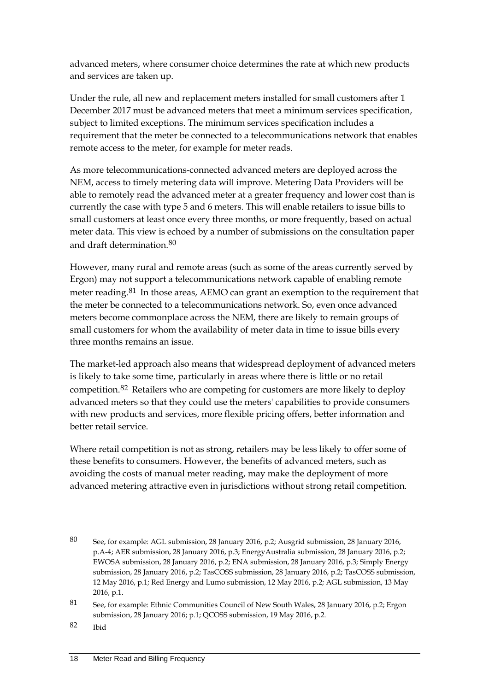advanced meters, where consumer choice determines the rate at which new products and services are taken up.

Under the rule, all new and replacement meters installed for small customers after 1 December 2017 must be advanced meters that meet a minimum services specification, subject to limited exceptions. The minimum services specification includes a requirement that the meter be connected to a telecommunications network that enables remote access to the meter, for example for meter reads.

As more telecommunications-connected advanced meters are deployed across the NEM, access to timely metering data will improve. Metering Data Providers will be able to remotely read the advanced meter at a greater frequency and lower cost than is currently the case with type 5 and 6 meters. This will enable retailers to issue bills to small customers at least once every three months, or more frequently, based on actual meter data. This view is echoed by a number of submissions on the consultation paper and draft determination.<sup>[80](#page-24-0)</sup>

However, many rural and remote areas (such as some of the areas currently served by Ergon) may not support a telecommunications network capable of enabling remote meter reading.<sup>[81](#page-24-1)</sup> In those areas, AEMO can grant an exemption to the requirement that the meter be connected to a telecommunications network. So, even once advanced meters become commonplace across the NEM, there are likely to remain groups of small customers for whom the availability of meter data in time to issue bills every three months remains an issue.

The market-led approach also means that widespread deployment of advanced meters is likely to take some time, particularly in areas where there is little or no retail competition.[82](#page-24-2) Retailers who are competing for customers are more likely to deploy advanced meters so that they could use the meters' capabilities to provide consumers with new products and services, more flexible pricing offers, better information and better retail service.

Where retail competition is not as strong, retailers may be less likely to offer some of these benefits to consumers. However, the benefits of advanced meters, such as avoiding the costs of manual meter reading, may make the deployment of more advanced metering attractive even in jurisdictions without strong retail competition.

<span id="page-24-0"></span><sup>80</sup> See, for example: AGL submission, 28 January 2016, p.2; Ausgrid submission, 28 January 2016, p.A-4; AER submission, 28 January 2016, p.3; EnergyAustralia submission, 28 January 2016, p.2; EWOSA submission, 28 January 2016, p.2; ENA submission, 28 January 2016, p.3; Simply Energy submission, 28 January 2016, p.2; TasCOSS submission, 28 January 2016, p.2; TasCOSS submission, 12 May 2016, p.1; Red Energy and Lumo submission, 12 May 2016, p.2; AGL submission, 13 May 2016, p.1.

<span id="page-24-1"></span><sup>81</sup> See, for example: Ethnic Communities Council of New South Wales, 28 January 2016, p.2; Ergon submission, 28 January 2016; p.1; QCOSS submission, 19 May 2016, p.2.

<span id="page-24-2"></span><sup>82</sup> Ibid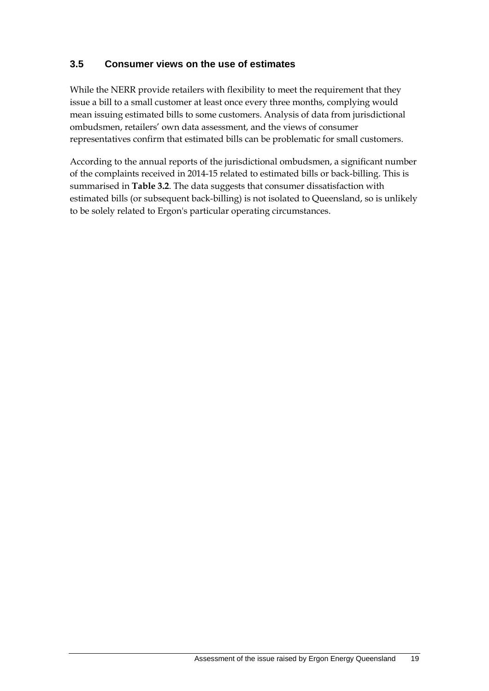### <span id="page-25-0"></span>**3.5 Consumer views on the use of estimates**

While the NERR provide retailers with flexibility to meet the requirement that they issue a bill to a small customer at least once every three months, complying would mean issuing estimated bills to some customers. Analysis of data from jurisdictional ombudsmen, retailers' own data assessment, and the views of consumer representatives confirm that estimated bills can be problematic for small customers.

According to the annual reports of the jurisdictional ombudsmen, a significant number of the complaints received in 2014-15 related to estimated bills or back-billing. This is summarised in **Table 3.2**. The data suggests that consumer dissatisfaction with estimated bills (or subsequent back-billing) is not isolated to Queensland, so is unlikely to be solely related to Ergon's particular operating circumstances.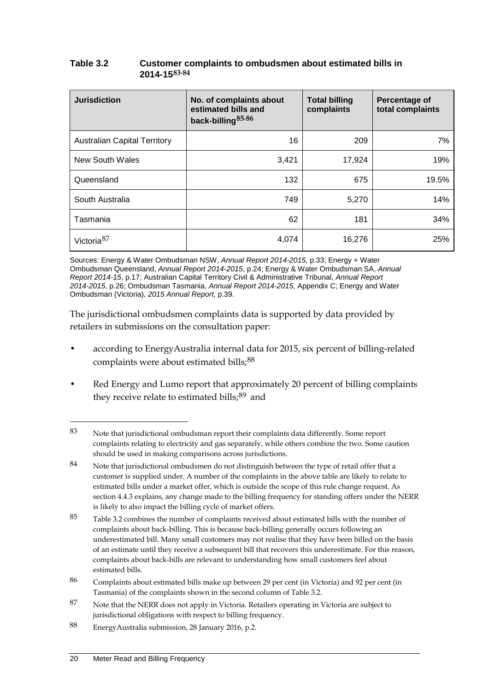| Table 3.2 | Customer complaints to ombudsmen about estimated bills in |
|-----------|-----------------------------------------------------------|
|           | $2014 - 1583.84$                                          |

| <b>Jurisdiction</b>                 | No. of complaints about<br>estimated bills and<br>back-billing <sup>85,86</sup> | <b>Total billing</b><br>complaints | Percentage of<br>total complaints |
|-------------------------------------|---------------------------------------------------------------------------------|------------------------------------|-----------------------------------|
| <b>Australian Capital Territory</b> | 16                                                                              | 209                                | 7%                                |
| New South Wales                     | 3,421                                                                           | 17,924                             | 19%                               |
| Queensland                          | 132                                                                             | 675                                | 19.5%                             |
| South Australia                     | 749                                                                             | 5,270                              | 14%                               |
| Tasmania                            | 62                                                                              | 181                                | 34%                               |
| Victoria $87$                       | 4,074                                                                           | 16,276                             | 25%                               |

Sources: Energy & Water Ombudsman NSW, *Annual Report 2014-2015,* p.33; Energy + Water Ombudsman Queensland, *Annual Report 2014-2015*, p.24; Energy & Water Ombudsman SA, *Annual Report 2014-15*, p.17; Australian Capital Territory Civil & Administrative Tribunal, *Annual Report 2014-2015*, p.26; Ombudsman Tasmania, *Annual Report 2014-2015*, Appendix C; Energy and Water Ombudsman (Victoria), *2015 Annual Report*, p.39.

The jurisdictional ombudsmen complaints data is supported by data provided by retailers in submissions on the consultation paper:

- according to EnergyAustralia internal data for 2015, six percent of billing-related complaints were about estimated bills;<sup>[88](#page-26-5)</sup>
- Red Energy and Lumo report that approximately 20 percent of billing complaints they receive relate to estimated bills;<sup>[89](#page-26-6)</sup> and

<span id="page-26-0"></span><sup>83</sup> Note that jurisdictional ombudsman report their complaints data differently. Some report complaints relating to electricity and gas separately, while others combine the two. Some caution should be used in making comparisons across jurisdictions.

<span id="page-26-1"></span><sup>84</sup> Note that jurisdictional ombudsmen do not distinguish between the type of retail offer that a customer is supplied under. A number of the complaints in the above table are likely to relate to estimated bills under a market offer, which is outside the scope of this rule change request. As section 4.4.3 explains, any change made to the billing frequency for standing offers under the NERR is likely to also impact the billing cycle of market offers.

<span id="page-26-6"></span><span id="page-26-2"></span><sup>85</sup> Table 3.2 combines the number of complaints received about estimated bills with the number of complaints about back-billing. This is because back-billing generally occurs following an underestimated bill. Many small customers may not realise that they have been billed on the basis of an estimate until they receive a subsequent bill that recovers this underestimate. For this reason, complaints about back-bills are relevant to understanding how small customers feel about estimated bills.

<span id="page-26-3"></span><sup>86</sup> Complaints about estimated bills make up between 29 per cent (in Victoria) and 92 per cent (in Tasmania) of the complaints shown in the second column of Table 3.2.

<span id="page-26-4"></span><sup>87</sup> Note that the NERR does not apply in Victoria. Retailers operating in Victoria are subject to jurisdictional obligations with respect to billing frequency.

<span id="page-26-5"></span><sup>88</sup> EnergyAustralia submission, 28 January 2016, p.2.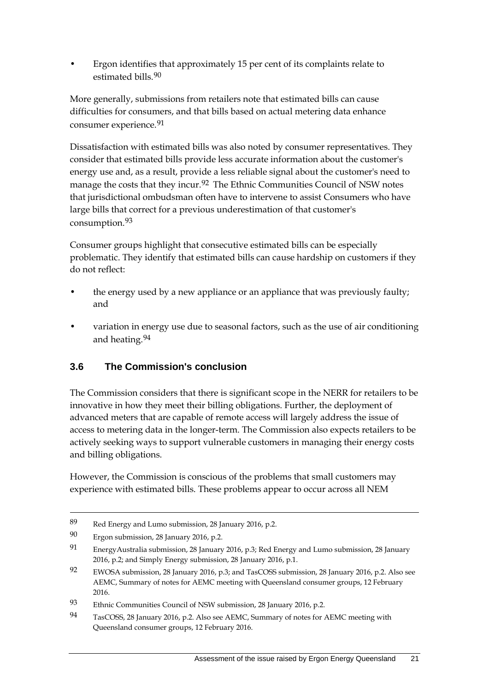• Ergon identifies that approximately 15 per cent of its complaints relate to estimated bills.<sup>[90](#page-27-1)</sup>

More generally, submissions from retailers note that estimated bills can cause difficulties for consumers, and that bills based on actual metering data enhance consumer experience.<sup>[91](#page-27-2)</sup>

Dissatisfaction with estimated bills was also noted by consumer representatives. They consider that estimated bills provide less accurate information about the customer's energy use and, as a result, provide a less reliable signal about the customer's need to manage the costs that they incur.<sup>[92](#page-27-3)</sup> The Ethnic Communities Council of NSW notes that jurisdictional ombudsman often have to intervene to assist Consumers who have large bills that correct for a previous underestimation of that customer's consumption.[93](#page-27-4)

Consumer groups highlight that consecutive estimated bills can be especially problematic. They identify that estimated bills can cause hardship on customers if they do not reflect:

- the energy used by a new appliance or an appliance that was previously faulty; and
- variation in energy use due to seasonal factors, such as the use of air conditioning and heating.[94](#page-27-5)

### <span id="page-27-0"></span>**3.6 The Commission's conclusion**

The Commission considers that there is significant scope in the NERR for retailers to be innovative in how they meet their billing obligations. Further, the deployment of advanced meters that are capable of remote access will largely address the issue of access to metering data in the longer-term. The Commission also expects retailers to be actively seeking ways to support vulnerable customers in managing their energy costs and billing obligations.

However, the Commission is conscious of the problems that small customers may experience with estimated bills. These problems appear to occur across all NEM

<sup>89</sup> Red Energy and Lumo submission, 28 January 2016, p.2.

<span id="page-27-1"></span><sup>90</sup> Ergon submission, 28 January 2016, p.2.

<span id="page-27-2"></span><sup>91</sup> EnergyAustralia submission, 28 January 2016, p.3; Red Energy and Lumo submission, 28 January 2016, p.2; and Simply Energy submission, 28 January 2016, p.1.

<span id="page-27-3"></span><sup>92</sup> EWOSA submission, 28 January 2016, p.3; and TasCOSS submission, 28 January 2016, p.2. Also see AEMC, Summary of notes for AEMC meeting with Queensland consumer groups, 12 February 2016.

<span id="page-27-4"></span><sup>93</sup> Ethnic Communities Council of NSW submission, 28 January 2016, p.2.

<span id="page-27-5"></span><sup>94</sup> TasCOSS, 28 January 2016, p.2. Also see AEMC, Summary of notes for AEMC meeting with Queensland consumer groups, 12 February 2016.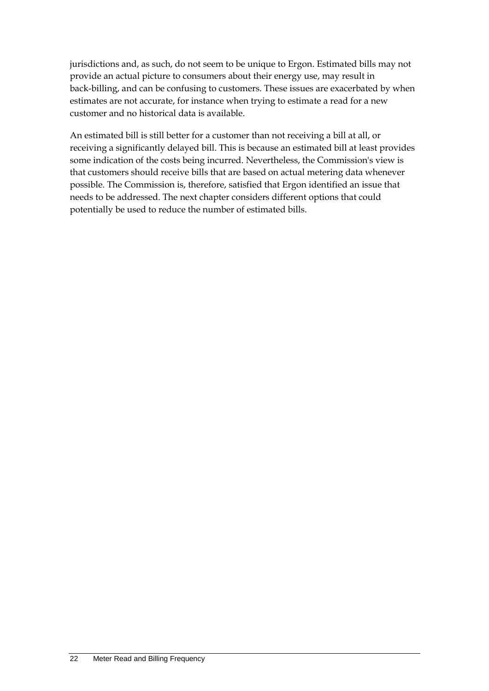jurisdictions and, as such, do not seem to be unique to Ergon. Estimated bills may not provide an actual picture to consumers about their energy use, may result in back-billing, and can be confusing to customers. These issues are exacerbated by when estimates are not accurate, for instance when trying to estimate a read for a new customer and no historical data is available.

An estimated bill is still better for a customer than not receiving a bill at all, or receiving a significantly delayed bill. This is because an estimated bill at least provides some indication of the costs being incurred. Nevertheless, the Commission's view is that customers should receive bills that are based on actual metering data whenever possible. The Commission is, therefore, satisfied that Ergon identified an issue that needs to be addressed. The next chapter considers different options that could potentially be used to reduce the number of estimated bills.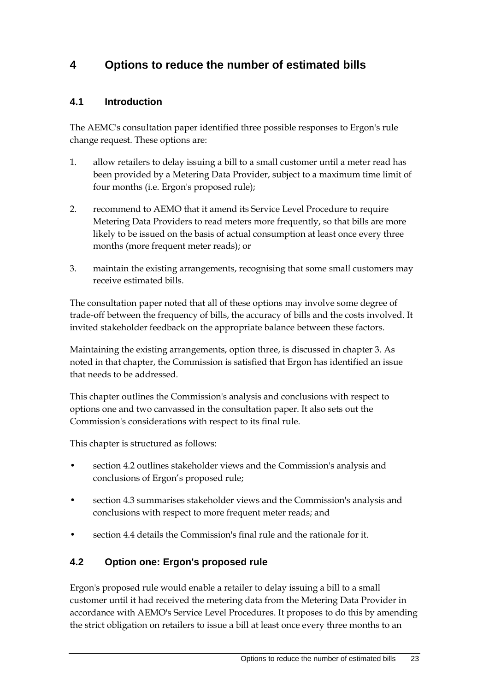## <span id="page-29-0"></span>**4 Options to reduce the number of estimated bills**

### <span id="page-29-1"></span>**4.1 Introduction**

The AEMC's consultation paper identified three possible responses to Ergon's rule change request. These options are:

- 1. allow retailers to delay issuing a bill to a small customer until a meter read has been provided by a Metering Data Provider, subject to a maximum time limit of four months (i.e. Ergon's proposed rule);
- 2. recommend to AEMO that it amend its Service Level Procedure to require Metering Data Providers to read meters more frequently, so that bills are more likely to be issued on the basis of actual consumption at least once every three months (more frequent meter reads); or
- 3. maintain the existing arrangements, recognising that some small customers may receive estimated bills.

The consultation paper noted that all of these options may involve some degree of trade-off between the frequency of bills, the accuracy of bills and the costs involved. It invited stakeholder feedback on the appropriate balance between these factors.

Maintaining the existing arrangements, option three, is discussed in chapter 3. As noted in that chapter, the Commission is satisfied that Ergon has identified an issue that needs to be addressed.

This chapter outlines the Commission's analysis and conclusions with respect to options one and two canvassed in the consultation paper. It also sets out the Commission's considerations with respect to its final rule.

This chapter is structured as follows:

- section 4.2 outlines stakeholder views and the Commission's analysis and conclusions of Ergon's proposed rule;
- section 4.3 summarises stakeholder views and the Commission's analysis and conclusions with respect to more frequent meter reads; and
- section 4.4 details the Commission's final rule and the rationale for it.

### <span id="page-29-2"></span>**4.2 Option one: Ergon's proposed rule**

Ergon's proposed rule would enable a retailer to delay issuing a bill to a small customer until it had received the metering data from the Metering Data Provider in accordance with AEMO's Service Level Procedures. It proposes to do this by amending the strict obligation on retailers to issue a bill at least once every three months to an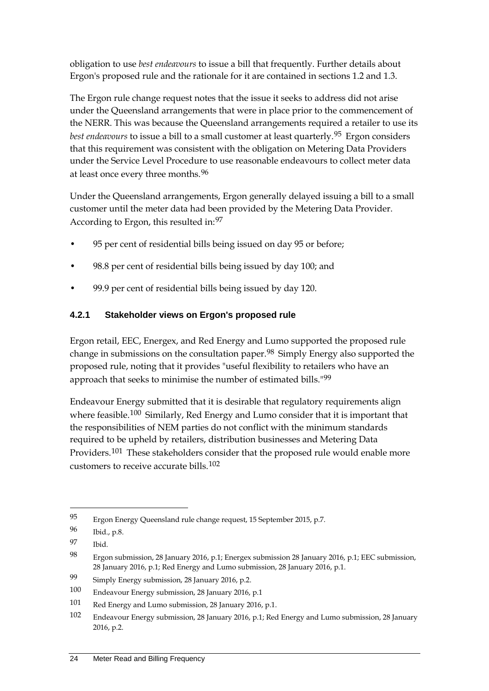obligation to use *best endeavours* to issue a bill that frequently. Further details about Ergon's proposed rule and the rationale for it are contained in sections 1.2 and 1.3.

The Ergon rule change request notes that the issue it seeks to address did not arise under the Queensland arrangements that were in place prior to the commencement of the NERR. This was because the Queensland arrangements required a retailer to use its *best endeavours* to issue a bill to a small customer at least quarterly.[95](#page-30-0) Ergon considers that this requirement was consistent with the obligation on Metering Data Providers under the Service Level Procedure to use reasonable endeavours to collect meter data at least once every three months.<sup>[96](#page-30-1)</sup>

Under the Queensland arrangements, Ergon generally delayed issuing a bill to a small customer until the meter data had been provided by the Metering Data Provider. According to Ergon, this resulted in:[97](#page-30-2)

- 95 per cent of residential bills being issued on day 95 or before;
- 98.8 per cent of residential bills being issued by day 100; and
- 99.9 per cent of residential bills being issued by day 120.

### **4.2.1 Stakeholder views on Ergon's proposed rule**

Ergon retail, EEC, Energex, and Red Energy and Lumo supported the proposed rule change in submissions on the consultation paper.[98](#page-30-3) Simply Energy also supported the proposed rule, noting that it provides "useful flexibility to retailers who have an approach that seeks to minimise the number of estimated bills.<sup>"[99](#page-30-4)</sup>

Endeavour Energy submitted that it is desirable that regulatory requirements align where feasible.<sup>[100](#page-30-5)</sup> Similarly, Red Energy and Lumo consider that it is important that the responsibilities of NEM parties do not conflict with the minimum standards required to be upheld by retailers, distribution businesses and Metering Data Providers.<sup>[101](#page-30-6)</sup> These stakeholders consider that the proposed rule would enable more customers to receive accurate bills.[102](#page-30-7)

<span id="page-30-0"></span><sup>95</sup> Ergon Energy Queensland rule change request, 15 September 2015, p.7.

<span id="page-30-1"></span><sup>96</sup> Ibid., p.8.

<span id="page-30-2"></span><sup>97</sup> Ibid.

<span id="page-30-3"></span><sup>98</sup> Ergon submission, 28 January 2016, p.1; Energex submission 28 January 2016, p.1; EEC submission, 28 January 2016, p.1; Red Energy and Lumo submission, 28 January 2016, p.1.

<span id="page-30-4"></span><sup>99</sup> Simply Energy submission, 28 January 2016, p.2.

<span id="page-30-5"></span><sup>100</sup> Endeavour Energy submission, 28 January 2016, p.1

<span id="page-30-6"></span><sup>101</sup> Red Energy and Lumo submission, 28 January 2016, p.1.

<span id="page-30-7"></span><sup>102</sup> Endeavour Energy submission, 28 January 2016, p.1; Red Energy and Lumo submission, 28 January 2016, p.2.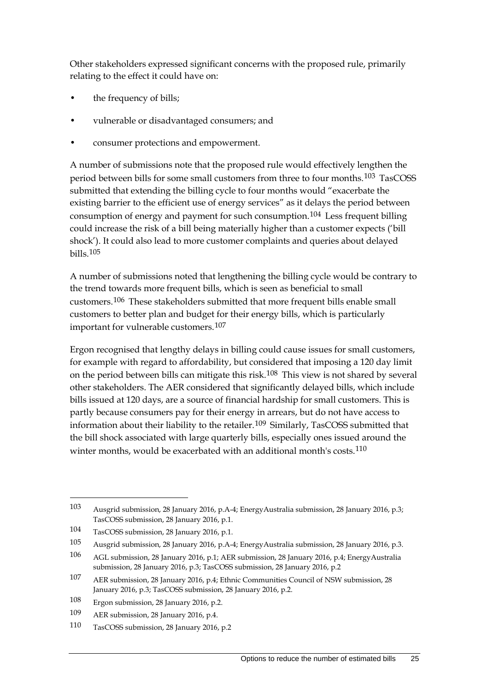Other stakeholders expressed significant concerns with the proposed rule, primarily relating to the effect it could have on:

- the frequency of bills;
- vulnerable or disadvantaged consumers; and
- consumer protections and empowerment.

A number of submissions note that the proposed rule would effectively lengthen the period between bills for some small customers from three to four months.[103](#page-31-0) TasCOSS submitted that extending the billing cycle to four months would "exacerbate the existing barrier to the efficient use of energy services" as it delays the period between consumption of energy and payment for such consumption.[104](#page-31-1) Less frequent billing could increase the risk of a bill being materially higher than a customer expects ('bill shock'). It could also lead to more customer complaints and queries about delayed bills.[105](#page-31-2)

A number of submissions noted that lengthening the billing cycle would be contrary to the trend towards more frequent bills, which is seen as beneficial to small customers.[106](#page-31-3) These stakeholders submitted that more frequent bills enable small customers to better plan and budget for their energy bills, which is particularly important for vulnerable customers.[107](#page-31-4)

Ergon recognised that lengthy delays in billing could cause issues for small customers, for example with regard to affordability, but considered that imposing a 120 day limit on the period between bills can mitigate this risk.[108](#page-31-5) This view is not shared by several other stakeholders. The AER considered that significantly delayed bills, which include bills issued at 120 days, are a source of financial hardship for small customers. This is partly because consumers pay for their energy in arrears, but do not have access to information about their liability to the retailer.<sup>[109](#page-31-6)</sup> Similarly, TasCOSS submitted that the bill shock associated with large quarterly bills, especially ones issued around the winter months, would be exacerbated with an additional month's costs.<sup>[110](#page-31-7)</sup>

<span id="page-31-0"></span><sup>103</sup> Ausgrid submission, 28 January 2016, p.A-4; EnergyAustralia submission, 28 January 2016, p.3; TasCOSS submission, 28 January 2016, p.1.

<span id="page-31-1"></span><sup>104</sup> TasCOSS submission, 28 January 2016, p.1.

<span id="page-31-2"></span><sup>105</sup> Ausgrid submission, 28 January 2016, p.A-4; EnergyAustralia submission, 28 January 2016, p.3.

<span id="page-31-3"></span><sup>106</sup> AGL submission, 28 January 2016, p.1; AER submission, 28 January 2016, p.4; EnergyAustralia submission, 28 January 2016, p.3; TasCOSS submission, 28 January 2016, p.2

<span id="page-31-4"></span><sup>107</sup> AER submission, 28 January 2016, p.4; Ethnic Communities Council of NSW submission, 28 January 2016, p.3; TasCOSS submission, 28 January 2016, p.2.

<span id="page-31-5"></span><sup>108</sup> Ergon submission, 28 January 2016, p.2.

<span id="page-31-6"></span><sup>109</sup> AER submission, 28 January 2016, p.4.

<span id="page-31-7"></span><sup>110</sup> TasCOSS submission, 28 January 2016, p.2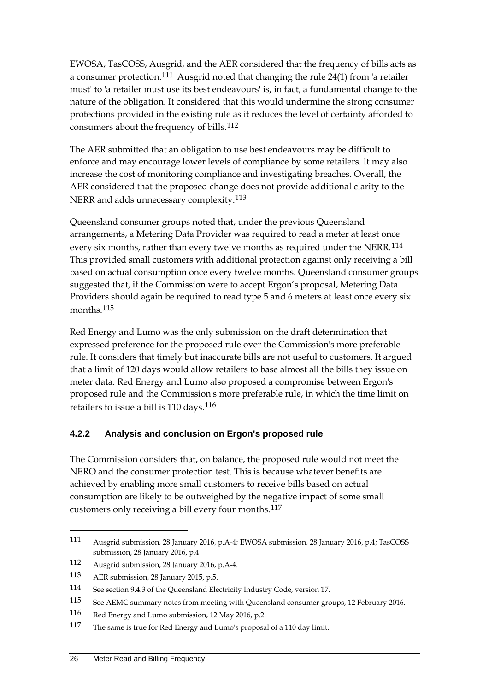EWOSA, TasCOSS, Ausgrid, and the AER considered that the frequency of bills acts as a consumer protection.[111](#page-32-0) Ausgrid noted that changing the rule 24(1) from 'a retailer must' to 'a retailer must use its best endeavours' is, in fact, a fundamental change to the nature of the obligation. It considered that this would undermine the strong consumer protections provided in the existing rule as it reduces the level of certainty afforded to consumers about the frequency of bills.[112](#page-32-1)

The AER submitted that an obligation to use best endeavours may be difficult to enforce and may encourage lower levels of compliance by some retailers. It may also increase the cost of monitoring compliance and investigating breaches. Overall, the AER considered that the proposed change does not provide additional clarity to the NERR and adds unnecessary complexity.<sup>[113](#page-32-2)</sup>

Queensland consumer groups noted that, under the previous Queensland arrangements, a Metering Data Provider was required to read a meter at least once every six months, rather than every twelve months as required under the NERR.<sup>[114](#page-32-3)</sup> This provided small customers with additional protection against only receiving a bill based on actual consumption once every twelve months. Queensland consumer groups suggested that, if the Commission were to accept Ergon's proposal, Metering Data Providers should again be required to read type 5 and 6 meters at least once every six months.[115](#page-32-4)

Red Energy and Lumo was the only submission on the draft determination that expressed preference for the proposed rule over the Commission's more preferable rule. It considers that timely but inaccurate bills are not useful to customers. It argued that a limit of 120 days would allow retailers to base almost all the bills they issue on meter data. Red Energy and Lumo also proposed a compromise between Ergon's proposed rule and the Commission's more preferable rule, in which the time limit on retailers to issue a bill is 110 days.<sup>[116](#page-32-5)</sup>

### **4.2.2 Analysis and conclusion on Ergon's proposed rule**

The Commission considers that, on balance, the proposed rule would not meet the NERO and the consumer protection test. This is because whatever benefits are achieved by enabling more small customers to receive bills based on actual consumption are likely to be outweighed by the negative impact of some small customers only receiving a bill every four months.[117](#page-32-6)

<span id="page-32-0"></span><sup>111</sup> Ausgrid submission, 28 January 2016, p.A-4; EWOSA submission, 28 January 2016, p.4; TasCOSS submission, 28 January 2016, p.4

<span id="page-32-1"></span><sup>112</sup> Ausgrid submission, 28 January 2016, p.A-4.

<span id="page-32-2"></span><sup>113</sup> AER submission, 28 January 2015, p.5.

<span id="page-32-3"></span><sup>114</sup> See section 9.4.3 of the Queensland Electricity Industry Code, version 17.

<span id="page-32-4"></span><sup>115</sup> See AEMC summary notes from meeting with Queensland consumer groups, 12 February 2016.

<span id="page-32-5"></span><sup>116</sup> Red Energy and Lumo submission, 12 May 2016, p.2.

<span id="page-32-6"></span><sup>117</sup> The same is true for Red Energy and Lumo's proposal of a 110 day limit.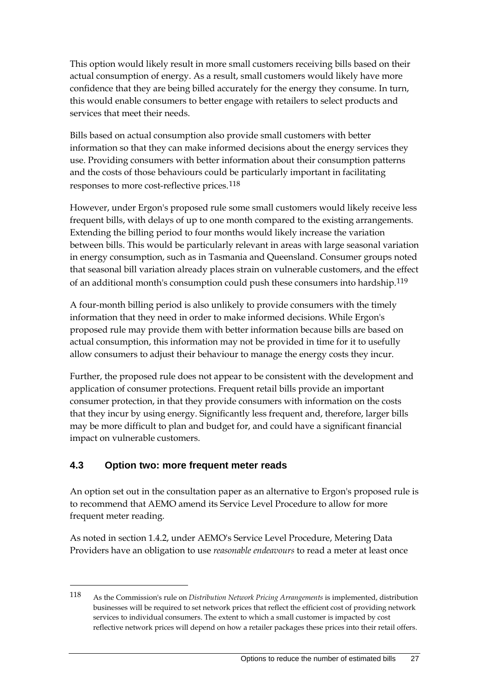This option would likely result in more small customers receiving bills based on their actual consumption of energy. As a result, small customers would likely have more confidence that they are being billed accurately for the energy they consume. In turn, this would enable consumers to better engage with retailers to select products and services that meet their needs.

Bills based on actual consumption also provide small customers with better information so that they can make informed decisions about the energy services they use. Providing consumers with better information about their consumption patterns and the costs of those behaviours could be particularly important in facilitating responses to more cost-reflective prices.[118](#page-33-1)

However, under Ergon's proposed rule some small customers would likely receive less frequent bills, with delays of up to one month compared to the existing arrangements. Extending the billing period to four months would likely increase the variation between bills. This would be particularly relevant in areas with large seasonal variation in energy consumption, such as in Tasmania and Queensland. Consumer groups noted that seasonal bill variation already places strain on vulnerable customers, and the effect of an additional month's consumption could push these consumers into hardship.<sup>[119](#page-33-2)</sup>

A four-month billing period is also unlikely to provide consumers with the timely information that they need in order to make informed decisions. While Ergon's proposed rule may provide them with better information because bills are based on actual consumption, this information may not be provided in time for it to usefully allow consumers to adjust their behaviour to manage the energy costs they incur.

Further, the proposed rule does not appear to be consistent with the development and application of consumer protections. Frequent retail bills provide an important consumer protection, in that they provide consumers with information on the costs that they incur by using energy. Significantly less frequent and, therefore, larger bills may be more difficult to plan and budget for, and could have a significant financial impact on vulnerable customers.

### <span id="page-33-0"></span>**4.3 Option two: more frequent meter reads**

-

An option set out in the consultation paper as an alternative to Ergon's proposed rule is to recommend that AEMO amend its Service Level Procedure to allow for more frequent meter reading.

<span id="page-33-2"></span>As noted in section 1.4.2, under AEMO's Service Level Procedure, Metering Data Providers have an obligation to use *reasonable endeavours* to read a meter at least once

<span id="page-33-1"></span><sup>118</sup> As the Commission's rule on *Distribution Network Pricing Arrangements* is implemented, distribution businesses will be required to set network prices that reflect the efficient cost of providing network services to individual consumers. The extent to which a small customer is impacted by cost reflective network prices will depend on how a retailer packages these prices into their retail offers.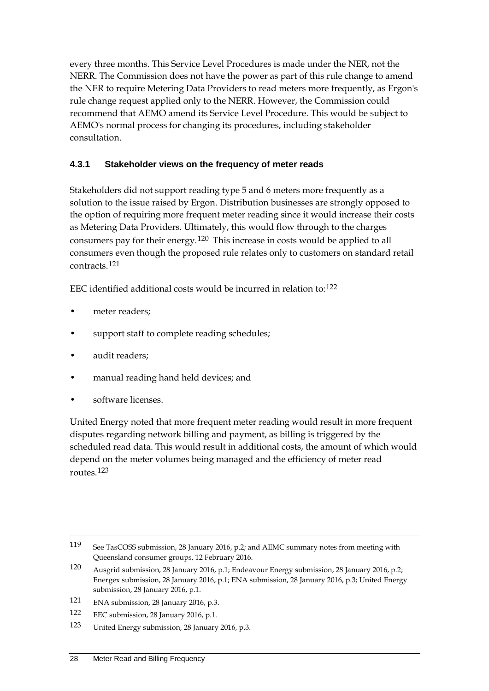every three months. This Service Level Procedures is made under the NER, not the NERR. The Commission does not have the power as part of this rule change to amend the NER to require Metering Data Providers to read meters more frequently, as Ergon's rule change request applied only to the NERR. However, the Commission could recommend that AEMO amend its Service Level Procedure. This would be subject to AEMO's normal process for changing its procedures, including stakeholder consultation.

### **4.3.1 Stakeholder views on the frequency of meter reads**

Stakeholders did not support reading type 5 and 6 meters more frequently as a solution to the issue raised by Ergon. Distribution businesses are strongly opposed to the option of requiring more frequent meter reading since it would increase their costs as Metering Data Providers. Ultimately, this would flow through to the charges consumers pay for their energy.[120](#page-34-0) This increase in costs would be applied to all consumers even though the proposed rule relates only to customers on standard retail contracts.[121](#page-34-1)

EEC identified additional costs would be incurred in relation to:[122](#page-34-2)

- meter readers:
- support staff to complete reading schedules;
- audit readers;
- manual reading hand held devices; and
- software licenses.

-

United Energy noted that more frequent meter reading would result in more frequent disputes regarding network billing and payment, as billing is triggered by the scheduled read data. This would result in additional costs, the amount of which would depend on the meter volumes being managed and the efficiency of meter read routes.[123](#page-34-3)

<sup>119</sup> See TasCOSS submission, 28 January 2016, p.2; and AEMC summary notes from meeting with Queensland consumer groups, 12 February 2016.

<span id="page-34-0"></span><sup>120</sup> Ausgrid submission, 28 January 2016, p.1; Endeavour Energy submission, 28 January 2016, p.2; Energex submission, 28 January 2016, p.1; ENA submission, 28 January 2016, p.3; United Energy submission, 28 January 2016, p.1.

<span id="page-34-1"></span><sup>121</sup> ENA submission, 28 January 2016, p.3.

<span id="page-34-2"></span><sup>122</sup> EEC submission, 28 January 2016, p.1.

<span id="page-34-3"></span><sup>123</sup> United Energy submission, 28 January 2016, p.3.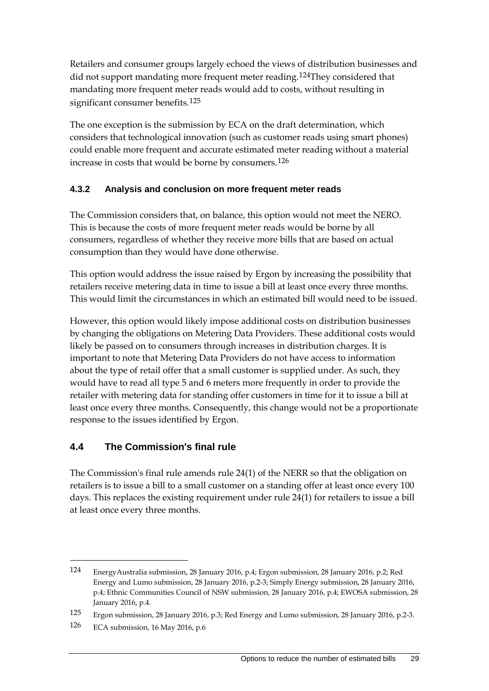Retailers and consumer groups largely echoed the views of distribution businesses and did not support mandating more frequent meter reading.<sup>[124](#page-35-1)</sup>They considered that mandating more frequent meter reads would add to costs, without resulting in significant consumer benefits.<sup>[125](#page-35-2)</sup>

The one exception is the submission by ECA on the draft determination, which considers that technological innovation (such as customer reads using smart phones) could enable more frequent and accurate estimated meter reading without a material increase in costs that would be borne by consumers.[126](#page-35-3)

### **4.3.2 Analysis and conclusion on more frequent meter reads**

The Commission considers that, on balance, this option would not meet the NERO. This is because the costs of more frequent meter reads would be borne by all consumers, regardless of whether they receive more bills that are based on actual consumption than they would have done otherwise.

This option would address the issue raised by Ergon by increasing the possibility that retailers receive metering data in time to issue a bill at least once every three months. This would limit the circumstances in which an estimated bill would need to be issued.

However, this option would likely impose additional costs on distribution businesses by changing the obligations on Metering Data Providers. These additional costs would likely be passed on to consumers through increases in distribution charges. It is important to note that Metering Data Providers do not have access to information about the type of retail offer that a small customer is supplied under. As such, they would have to read all type 5 and 6 meters more frequently in order to provide the retailer with metering data for standing offer customers in time for it to issue a bill at least once every three months. Consequently, this change would not be a proportionate response to the issues identified by Ergon.

### <span id="page-35-0"></span>**4.4 The Commission's final rule**

The Commission's final rule amends rule 24(1) of the NERR so that the obligation on retailers is to issue a bill to a small customer on a standing offer at least once every 100 days. This replaces the existing requirement under rule 24(1) for retailers to issue a bill at least once every three months.

<span id="page-35-1"></span><sup>124</sup> EnergyAustralia submission, 28 January 2016, p.4; Ergon submission, 28 January 2016, p.2; Red Energy and Lumo submission, 28 January 2016, p.2-3; Simply Energy submission, 28 January 2016, p.4; Ethnic Communities Council of NSW submission, 28 January 2016, p.4; EWOSA submission, 28 January 2016, p.4.

<span id="page-35-2"></span><sup>125</sup> Ergon submission, 28 January 2016, p.3; Red Energy and Lumo submission, 28 January 2016, p.2-3.

<span id="page-35-3"></span><sup>126</sup> ECA submission, 16 May 2016, p.6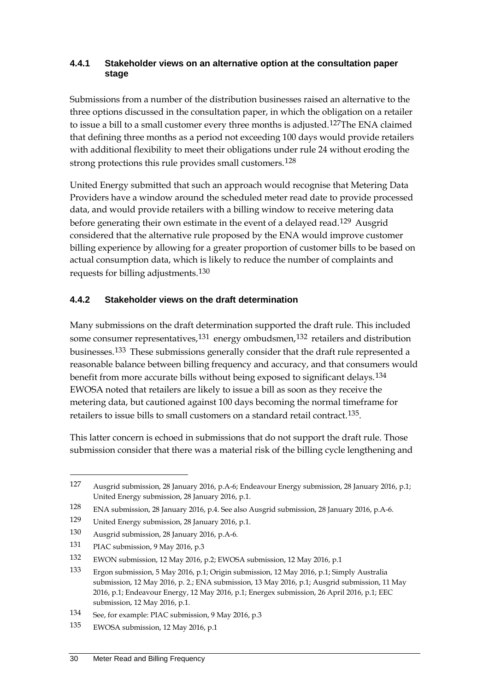#### **4.4.1 Stakeholder views on an alternative option at the consultation paper stage**

Submissions from a number of the distribution businesses raised an alternative to the three options discussed in the consultation paper, in which the obligation on a retailer to issue a bill to a small customer every three months is adjusted.<sup>[127](#page-36-0)</sup>The ENA claimed that defining three months as a period not exceeding 100 days would provide retailers with additional flexibility to meet their obligations under rule 24 without eroding the strong protections this rule provides small customers.<sup>[128](#page-36-1)</sup>

United Energy submitted that such an approach would recognise that Metering Data Providers have a window around the scheduled meter read date to provide processed data, and would provide retailers with a billing window to receive metering data before generating their own estimate in the event of a delayed read.[129](#page-36-2) Ausgrid considered that the alternative rule proposed by the ENA would improve customer billing experience by allowing for a greater proportion of customer bills to be based on actual consumption data, which is likely to reduce the number of complaints and requests for billing adjustments.[130](#page-36-3)

### **4.4.2 Stakeholder views on the draft determination**

Many submissions on the draft determination supported the draft rule. This included some consumer representatives, $131$  energy ombudsmen, $132$  retailers and distribution businesses.[133](#page-36-6) These submissions generally consider that the draft rule represented a reasonable balance between billing frequency and accuracy, and that consumers would benefit from more accurate bills without being exposed to significant delays.[134](#page-36-7) EWOSA noted that retailers are likely to issue a bill as soon as they receive the metering data, but cautioned against 100 days becoming the normal timeframe for retailers to issue bills to small customers on a standard retail contract.<sup>[135](#page-36-8)</sup>.

This latter concern is echoed in submissions that do not support the draft rule. Those submission consider that there was a material risk of the billing cycle lengthening and

<span id="page-36-0"></span><sup>127</sup> Ausgrid submission, 28 January 2016, p.A-6; Endeavour Energy submission, 28 January 2016, p.1; United Energy submission, 28 January 2016, p.1.

<span id="page-36-1"></span><sup>128</sup> ENA submission, 28 January 2016, p.4. See also Ausgrid submission, 28 January 2016, p.A-6.

<span id="page-36-2"></span><sup>129</sup> United Energy submission, 28 January 2016, p.1.

<span id="page-36-3"></span><sup>130</sup> Ausgrid submission, 28 January 2016, p.A-6.

<span id="page-36-4"></span><sup>131</sup> PIAC submission, 9 May 2016, p.3

<span id="page-36-5"></span><sup>132</sup> EWON submission, 12 May 2016, p.2; EWOSA submission, 12 May 2016, p.1

<span id="page-36-6"></span><sup>133</sup> Ergon submission, 5 May 2016, p.1; Origin submission, 12 May 2016, p.1; Simply Australia submission, 12 May 2016, p. 2.; ENA submission, 13 May 2016, p.1; Ausgrid submission, 11 May 2016, p.1; Endeavour Energy, 12 May 2016, p.1; Energex submission, 26 April 2016, p.1; EEC submission, 12 May 2016, p.1.

<span id="page-36-7"></span><sup>134</sup> See, for example: PIAC submission, 9 May 2016, p.3

<span id="page-36-8"></span><sup>135</sup> EWOSA submission, 12 May 2016, p.1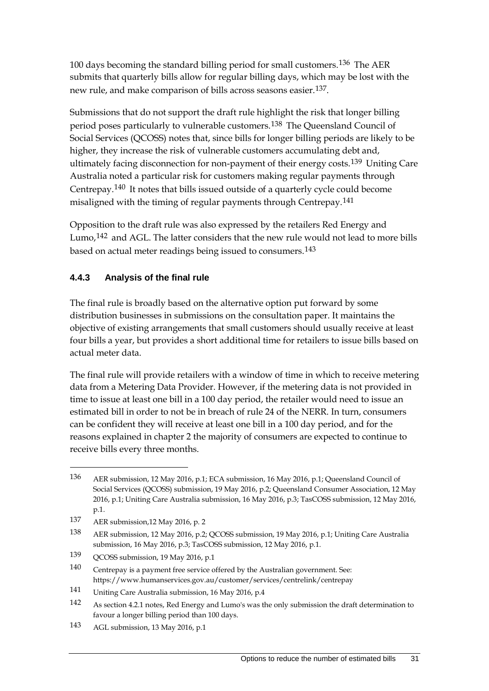100 days becoming the standard billing period for small customers.<sup>[136](#page-37-0)</sup> The AER submits that quarterly bills allow for regular billing days, which may be lost with the new rule, and make comparison of bills across seasons easier.[137.](#page-37-1)

Submissions that do not support the draft rule highlight the risk that longer billing period poses particularly to vulnerable customers.[138](#page-37-2) The Queensland Council of Social Services (QCOSS) notes that, since bills for longer billing periods are likely to be higher, they increase the risk of vulnerable customers accumulating debt and, ultimately facing disconnection for non-payment of their energy costs.<sup>[139](#page-37-3)</sup> Uniting Care Australia noted a particular risk for customers making regular payments through Centrepay.[140](#page-37-4) It notes that bills issued outside of a quarterly cycle could become misaligned with the timing of regular payments through Centrepay.[141](#page-37-5)

Opposition to the draft rule was also expressed by the retailers Red Energy and Lumo,<sup>[142](#page-37-6)</sup> and AGL. The latter considers that the new rule would not lead to more bills based on actual meter readings being issued to consumers.[143](#page-37-7)

### **4.4.3 Analysis of the final rule**

The final rule is broadly based on the alternative option put forward by some distribution businesses in submissions on the consultation paper. It maintains the objective of existing arrangements that small customers should usually receive at least four bills a year, but provides a short additional time for retailers to issue bills based on actual meter data.

The final rule will provide retailers with a window of time in which to receive metering data from a Metering Data Provider. However, if the metering data is not provided in time to issue at least one bill in a 100 day period, the retailer would need to issue an estimated bill in order to not be in breach of rule 24 of the NERR. In turn, consumers can be confident they will receive at least one bill in a 100 day period, and for the reasons explained in chapter 2 the majority of consumers are expected to continue to receive bills every three months.

<span id="page-37-0"></span><sup>136</sup> AER submission, 12 May 2016, p.1; ECA submission, 16 May 2016, p.1; Queensland Council of Social Services (QCOSS) submission, 19 May 2016, p.2; Queensland Consumer Association, 12 May 2016, p.1; Uniting Care Australia submission, 16 May 2016, p.3; TasCOSS submission, 12 May 2016, p.1.

<span id="page-37-1"></span><sup>137</sup> AER submission,12 May 2016, p. 2

<span id="page-37-2"></span><sup>138</sup> AER submission, 12 May 2016, p.2; QCOSS submission, 19 May 2016, p.1; Uniting Care Australia submission, 16 May 2016, p.3; TasCOSS submission, 12 May 2016, p.1.

<span id="page-37-3"></span><sup>139</sup> QCOSS submission, 19 May 2016, p.1

<span id="page-37-4"></span><sup>140</sup> Centrepay is a payment free service offered by the Australian government. See: https://www.humanservices.gov.au/customer/services/centrelink/centrepay

<span id="page-37-5"></span><sup>141</sup> Uniting Care Australia submission, 16 May 2016, p.4

<span id="page-37-6"></span><sup>142</sup> As section 4.2.1 notes, Red Energy and Lumo's was the only submission the draft determination to favour a longer billing period than 100 days.

<span id="page-37-7"></span><sup>143</sup> AGL submission, 13 May 2016, p.1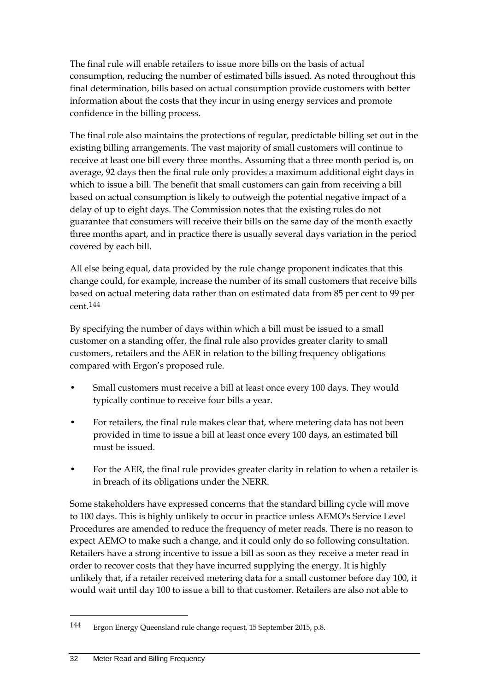The final rule will enable retailers to issue more bills on the basis of actual consumption, reducing the number of estimated bills issued. As noted throughout this final determination, bills based on actual consumption provide customers with better information about the costs that they incur in using energy services and promote confidence in the billing process.

The final rule also maintains the protections of regular, predictable billing set out in the existing billing arrangements. The vast majority of small customers will continue to receive at least one bill every three months. Assuming that a three month period is, on average, 92 days then the final rule only provides a maximum additional eight days in which to issue a bill. The benefit that small customers can gain from receiving a bill based on actual consumption is likely to outweigh the potential negative impact of a delay of up to eight days. The Commission notes that the existing rules do not guarantee that consumers will receive their bills on the same day of the month exactly three months apart, and in practice there is usually several days variation in the period covered by each bill.

All else being equal, data provided by the rule change proponent indicates that this change could, for example, increase the number of its small customers that receive bills based on actual metering data rather than on estimated data from 85 per cent to 99 per cent.[144](#page-38-0)

By specifying the number of days within which a bill must be issued to a small customer on a standing offer, the final rule also provides greater clarity to small customers, retailers and the AER in relation to the billing frequency obligations compared with Ergon's proposed rule.

- Small customers must receive a bill at least once every 100 days. They would typically continue to receive four bills a year.
- For retailers, the final rule makes clear that, where metering data has not been provided in time to issue a bill at least once every 100 days, an estimated bill must be issued.
- For the AER, the final rule provides greater clarity in relation to when a retailer is in breach of its obligations under the NERR.

Some stakeholders have expressed concerns that the standard billing cycle will move to 100 days. This is highly unlikely to occur in practice unless AEMO's Service Level Procedures are amended to reduce the frequency of meter reads. There is no reason to expect AEMO to make such a change, and it could only do so following consultation. Retailers have a strong incentive to issue a bill as soon as they receive a meter read in order to recover costs that they have incurred supplying the energy. It is highly unlikely that, if a retailer received metering data for a small customer before day 100, it would wait until day 100 to issue a bill to that customer. Retailers are also not able to

<u>.</u>

<span id="page-38-0"></span><sup>144</sup> Ergon Energy Queensland rule change request, 15 September 2015, p.8.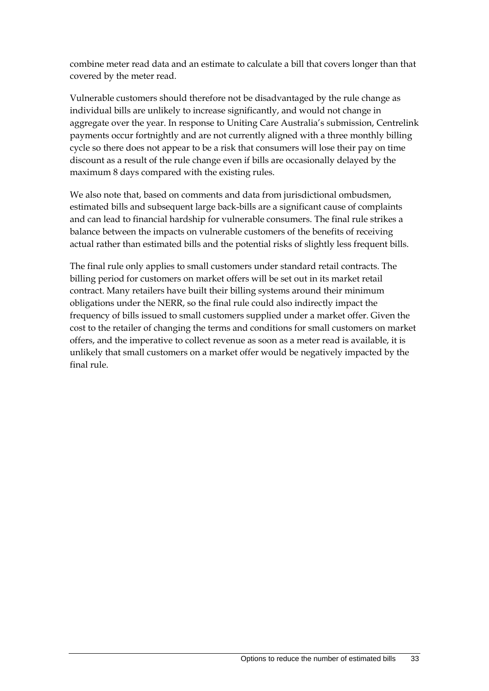combine meter read data and an estimate to calculate a bill that covers longer than that covered by the meter read.

Vulnerable customers should therefore not be disadvantaged by the rule change as individual bills are unlikely to increase significantly, and would not change in aggregate over the year. In response to Uniting Care Australia's submission, Centrelink payments occur fortnightly and are not currently aligned with a three monthly billing cycle so there does not appear to be a risk that consumers will lose their pay on time discount as a result of the rule change even if bills are occasionally delayed by the maximum 8 days compared with the existing rules.

We also note that, based on comments and data from jurisdictional ombudsmen, estimated bills and subsequent large back-bills are a significant cause of complaints and can lead to financial hardship for vulnerable consumers. The final rule strikes a balance between the impacts on vulnerable customers of the benefits of receiving actual rather than estimated bills and the potential risks of slightly less frequent bills.

The final rule only applies to small customers under standard retail contracts. The billing period for customers on market offers will be set out in its market retail contract. Many retailers have built their billing systems around their minimum obligations under the NERR, so the final rule could also indirectly impact the frequency of bills issued to small customers supplied under a market offer. Given the cost to the retailer of changing the terms and conditions for small customers on market offers, and the imperative to collect revenue as soon as a meter read is available, it is unlikely that small customers on a market offer would be negatively impacted by the final rule.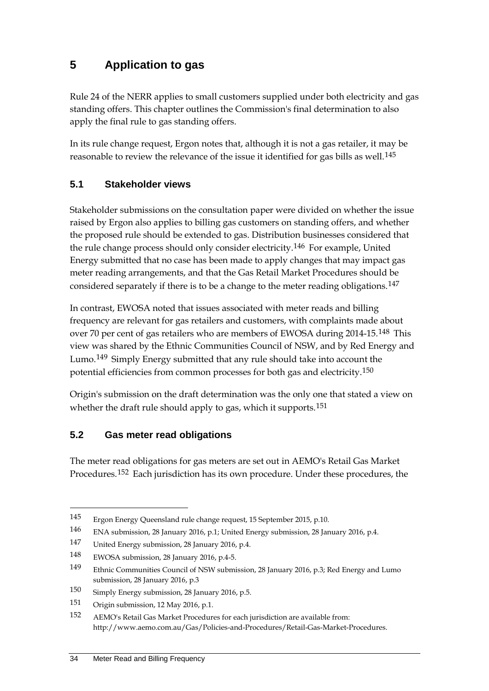## <span id="page-40-0"></span>**5 Application to gas**

Rule 24 of the NERR applies to small customers supplied under both electricity and gas standing offers. This chapter outlines the Commission's final determination to also apply the final rule to gas standing offers.

In its rule change request, Ergon notes that, although it is not a gas retailer, it may be reasonable to review the relevance of the issue it identified for gas bills as well.<sup>[145](#page-40-3)</sup>

### <span id="page-40-1"></span>**5.1 Stakeholder views**

Stakeholder submissions on the consultation paper were divided on whether the issue raised by Ergon also applies to billing gas customers on standing offers, and whether the proposed rule should be extended to gas. Distribution businesses considered that the rule change process should only consider electricity.[146](#page-40-4) For example, United Energy submitted that no case has been made to apply changes that may impact gas meter reading arrangements, and that the Gas Retail Market Procedures should be considered separately if there is to be a change to the meter reading obligations.[147](#page-40-5)

In contrast, EWOSA noted that issues associated with meter reads and billing frequency are relevant for gas retailers and customers, with complaints made about over 70 per cent of gas retailers who are members of EWOSA during 2014-15.[148](#page-40-6) This view was shared by the Ethnic Communities Council of NSW, and by Red Energy and Lumo.<sup>[149](#page-40-7)</sup> Simply Energy submitted that any rule should take into account the potential efficiencies from common processes for both gas and electricity.[150](#page-40-8)

Origin's submission on the draft determination was the only one that stated a view on whether the draft rule should apply to gas, which it supports.<sup>[151](#page-40-9)</sup>

### <span id="page-40-2"></span>**5.2 Gas meter read obligations**

The meter read obligations for gas meters are set out in AEMO's Retail Gas Market Procedures.<sup>[152](#page-40-10)</sup> Each jurisdiction has its own procedure. Under these procedures, the

<span id="page-40-3"></span><sup>145</sup> Ergon Energy Queensland rule change request, 15 September 2015, p.10.

<span id="page-40-4"></span><sup>146</sup> ENA submission, 28 January 2016, p.1; United Energy submission, 28 January 2016, p.4.

<span id="page-40-5"></span><sup>147</sup> United Energy submission, 28 January 2016, p.4.

<span id="page-40-6"></span><sup>148</sup> EWOSA submission, 28 January 2016, p.4-5.

<span id="page-40-7"></span><sup>149</sup> Ethnic Communities Council of NSW submission, 28 January 2016, p.3; Red Energy and Lumo submission, 28 January 2016, p.3

<span id="page-40-8"></span><sup>150</sup> Simply Energy submission, 28 January 2016, p.5.

<span id="page-40-9"></span><sup>151</sup> Origin submission, 12 May 2016, p.1.

<span id="page-40-10"></span><sup>152</sup> AEMO's Retail Gas Market Procedures for each jurisdiction are available from: http://www.aemo.com.au/Gas/Policies-and-Procedures/Retail-Gas-Market-Procedures.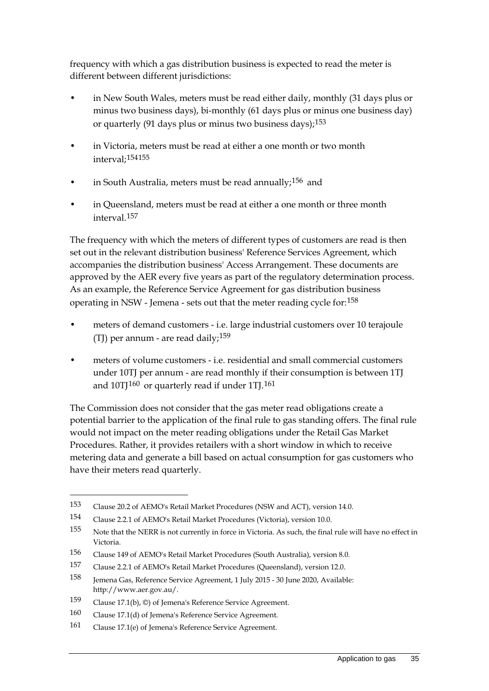frequency with which a gas distribution business is expected to read the meter is different between different jurisdictions:

- in New South Wales, meters must be read either daily, monthly (31 days plus or minus two business days), bi-monthly (61 days plus or minus one business day) or quarterly (91 days plus or minus two business days);  $153$
- in Victoria, meters must be read at either a one month or two month interval;[154](#page-41-1)[155](#page-41-2)
- in South Australia, meters must be read annually;  $156$  and
- in Queensland, meters must be read at either a one month or three month interval.[157](#page-41-4)

The frequency with which the meters of different types of customers are read is then set out in the relevant distribution business' Reference Services Agreement, which accompanies the distribution business' Access Arrangement. These documents are approved by the AER every five years as part of the regulatory determination process. As an example, the Reference Service Agreement for gas distribution business operating in NSW - Jemena - sets out that the meter reading cycle for:[158](#page-41-5)

- meters of demand customers i.e. large industrial customers over 10 terajoule (TJ) per annum - are read daily;  $159$
- meters of volume customers i.e. residential and small commercial customers under 10TJ per annum - are read monthly if their consumption is between 1TJ and  $10$ TJ $160$  or quarterly read if under 1TJ $.161$  $.161$

The Commission does not consider that the gas meter read obligations create a potential barrier to the application of the final rule to gas standing offers. The final rule would not impact on the meter reading obligations under the Retail Gas Market Procedures. Rather, it provides retailers with a short window in which to receive metering data and generate a bill based on actual consumption for gas customers who have their meters read quarterly.

<span id="page-41-0"></span><sup>153</sup> Clause 20.2 of AEMO's Retail Market Procedures (NSW and ACT), version 14.0.

<span id="page-41-1"></span><sup>154</sup> Clause 2.2.1 of AEMO's Retail Market Procedures (Victoria), version 10.0.

<span id="page-41-2"></span><sup>155</sup> Note that the NERR is not currently in force in Victoria. As such, the final rule will have no effect in Victoria.

<span id="page-41-3"></span><sup>156</sup> Clause 149 of AEMO's Retail Market Procedures (South Australia), version 8.0.

<span id="page-41-4"></span><sup>157</sup> Clause 2.2.1 of AEMO's Retail Market Procedures (Queensland), version 12.0.

<span id="page-41-5"></span><sup>158</sup> Jemena Gas, Reference Service Agreement, 1 July 2015 - 30 June 2020, Available: http://www.aer.gov.au/.

<span id="page-41-6"></span><sup>159</sup> Clause 17.1(b), ©) of Jemena's Reference Service Agreement.

<span id="page-41-7"></span><sup>160</sup> Clause 17.1(d) of Jemena's Reference Service Agreement.

<span id="page-41-8"></span><sup>161</sup> Clause 17.1(e) of Jemena's Reference Service Agreement.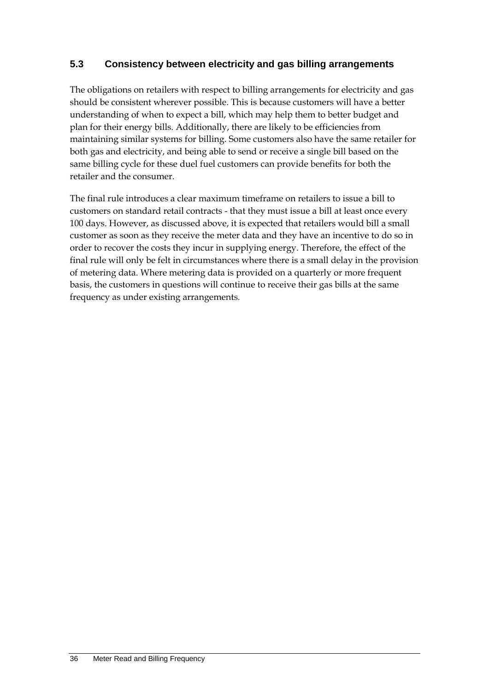### <span id="page-42-0"></span>**5.3 Consistency between electricity and gas billing arrangements**

The obligations on retailers with respect to billing arrangements for electricity and gas should be consistent wherever possible. This is because customers will have a better understanding of when to expect a bill, which may help them to better budget and plan for their energy bills. Additionally, there are likely to be efficiencies from maintaining similar systems for billing. Some customers also have the same retailer for both gas and electricity, and being able to send or receive a single bill based on the same billing cycle for these duel fuel customers can provide benefits for both the retailer and the consumer.

The final rule introduces a clear maximum timeframe on retailers to issue a bill to customers on standard retail contracts - that they must issue a bill at least once every 100 days. However, as discussed above, it is expected that retailers would bill a small customer as soon as they receive the meter data and they have an incentive to do so in order to recover the costs they incur in supplying energy. Therefore, the effect of the final rule will only be felt in circumstances where there is a small delay in the provision of metering data. Where metering data is provided on a quarterly or more frequent basis, the customers in questions will continue to receive their gas bills at the same frequency as under existing arrangements.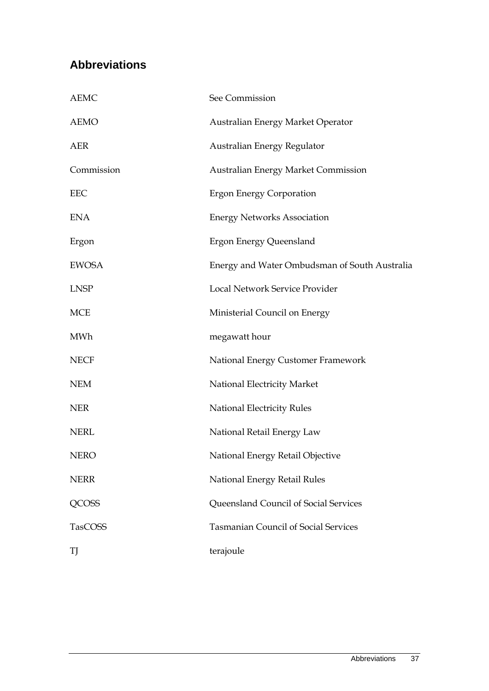## <span id="page-43-0"></span>**Abbreviations**

| <b>AEMC</b>  | See Commission                                |
|--------------|-----------------------------------------------|
| <b>AEMO</b>  | Australian Energy Market Operator             |
| <b>AER</b>   | Australian Energy Regulator                   |
| Commission   | <b>Australian Energy Market Commission</b>    |
| EEC          | <b>Ergon Energy Corporation</b>               |
| <b>ENA</b>   | <b>Energy Networks Association</b>            |
| Ergon        | <b>Ergon Energy Queensland</b>                |
| <b>EWOSA</b> | Energy and Water Ombudsman of South Australia |
| <b>LNSP</b>  | Local Network Service Provider                |
| <b>MCE</b>   | Ministerial Council on Energy                 |
| <b>MWh</b>   | megawatt hour                                 |
| <b>NECF</b>  | National Energy Customer Framework            |
| <b>NEM</b>   | National Electricity Market                   |
| <b>NER</b>   | National Electricity Rules                    |
| <b>NERL</b>  | National Retail Energy Law                    |
| <b>NERO</b>  | National Energy Retail Objective              |
| <b>NERR</b>  | National Energy Retail Rules                  |
| <b>QCOSS</b> | Queensland Council of Social Services         |
| TasCOSS      | <b>Tasmanian Council of Social Services</b>   |
| TJ           | terajoule                                     |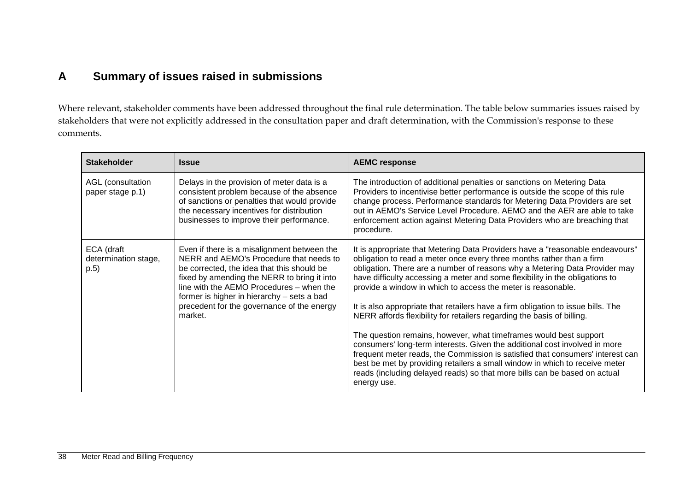### **A Summary of issues raised in submissions**

Where relevant, stakeholder comments have been addressed throughout the final rule determination. The table below summaries issues raised by stakeholders that were not explicitly addressed in the consultation paper and draft determination, with the Commission's response to these comments.

<span id="page-44-0"></span>

| <b>Stakeholder</b>                         | <b>Issue</b>                                                                                                                                                                                                                                                                                                                           | <b>AEMC response</b>                                                                                                                                                                                                                                                                                                                                                                                                                                                                                                                                                                                                                                                                                                                                                                                                                                                                                                                                               |
|--------------------------------------------|----------------------------------------------------------------------------------------------------------------------------------------------------------------------------------------------------------------------------------------------------------------------------------------------------------------------------------------|--------------------------------------------------------------------------------------------------------------------------------------------------------------------------------------------------------------------------------------------------------------------------------------------------------------------------------------------------------------------------------------------------------------------------------------------------------------------------------------------------------------------------------------------------------------------------------------------------------------------------------------------------------------------------------------------------------------------------------------------------------------------------------------------------------------------------------------------------------------------------------------------------------------------------------------------------------------------|
| AGL (consultation<br>paper stage p.1)      | Delays in the provision of meter data is a<br>consistent problem because of the absence<br>of sanctions or penalties that would provide<br>the necessary incentives for distribution<br>businesses to improve their performance.                                                                                                       | The introduction of additional penalties or sanctions on Metering Data<br>Providers to incentivise better performance is outside the scope of this rule<br>change process. Performance standards for Metering Data Providers are set<br>out in AEMO's Service Level Procedure. AEMO and the AER are able to take<br>enforcement action against Metering Data Providers who are breaching that<br>procedure.                                                                                                                                                                                                                                                                                                                                                                                                                                                                                                                                                        |
| ECA (draft<br>determination stage,<br>p.5) | Even if there is a misalignment between the<br>NERR and AEMO's Procedure that needs to<br>be corrected, the idea that this should be<br>fixed by amending the NERR to bring it into<br>line with the AEMO Procedures - when the<br>former is higher in hierarchy - sets a bad<br>precedent for the governance of the energy<br>market. | It is appropriate that Metering Data Providers have a "reasonable endeavours"<br>obligation to read a meter once every three months rather than a firm<br>obligation. There are a number of reasons why a Metering Data Provider may<br>have difficulty accessing a meter and some flexibility in the obligations to<br>provide a window in which to access the meter is reasonable.<br>It is also appropriate that retailers have a firm obligation to issue bills. The<br>NERR affords flexibility for retailers regarding the basis of billing.<br>The question remains, however, what timeframes would best support<br>consumers' long-term interests. Given the additional cost involved in more<br>frequent meter reads, the Commission is satisfied that consumers' interest can<br>best be met by providing retailers a small window in which to receive meter<br>reads (including delayed reads) so that more bills can be based on actual<br>energy use. |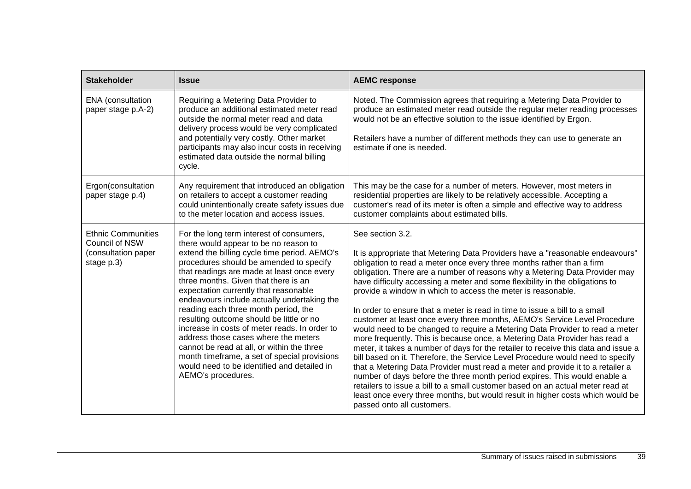| <b>Stakeholder</b>                                                               | <b>Issue</b>                                                                                                                                                                                                                                                                                                                                                                                                                                                                                                                                                                                                                                                                                               | <b>AEMC response</b>                                                                                                                                                                                                                                                                                                                                                                                                                                                                                                                                                                                                                                                                                                                                                                                                                                                                                                                                                                                                                                                                                                                                                                                                                                                       |
|----------------------------------------------------------------------------------|------------------------------------------------------------------------------------------------------------------------------------------------------------------------------------------------------------------------------------------------------------------------------------------------------------------------------------------------------------------------------------------------------------------------------------------------------------------------------------------------------------------------------------------------------------------------------------------------------------------------------------------------------------------------------------------------------------|----------------------------------------------------------------------------------------------------------------------------------------------------------------------------------------------------------------------------------------------------------------------------------------------------------------------------------------------------------------------------------------------------------------------------------------------------------------------------------------------------------------------------------------------------------------------------------------------------------------------------------------------------------------------------------------------------------------------------------------------------------------------------------------------------------------------------------------------------------------------------------------------------------------------------------------------------------------------------------------------------------------------------------------------------------------------------------------------------------------------------------------------------------------------------------------------------------------------------------------------------------------------------|
| ENA (consultation<br>paper stage p.A-2)                                          | Requiring a Metering Data Provider to<br>produce an additional estimated meter read<br>outside the normal meter read and data<br>delivery process would be very complicated<br>and potentially very costly. Other market<br>participants may also incur costs in receiving<br>estimated data outside the normal billing<br>cycle.                                                                                                                                                                                                                                                                                                                                                                          | Noted. The Commission agrees that requiring a Metering Data Provider to<br>produce an estimated meter read outside the regular meter reading processes<br>would not be an effective solution to the issue identified by Ergon.<br>Retailers have a number of different methods they can use to generate an<br>estimate if one is needed.                                                                                                                                                                                                                                                                                                                                                                                                                                                                                                                                                                                                                                                                                                                                                                                                                                                                                                                                   |
| Ergon(consultation<br>paper stage p.4)                                           | Any requirement that introduced an obligation<br>on retailers to accept a customer reading<br>could unintentionally create safety issues due<br>to the meter location and access issues.                                                                                                                                                                                                                                                                                                                                                                                                                                                                                                                   | This may be the case for a number of meters. However, most meters in<br>residential properties are likely to be relatively accessible. Accepting a<br>customer's read of its meter is often a simple and effective way to address<br>customer complaints about estimated bills.                                                                                                                                                                                                                                                                                                                                                                                                                                                                                                                                                                                                                                                                                                                                                                                                                                                                                                                                                                                            |
| <b>Ethnic Communities</b><br>Council of NSW<br>(consultation paper<br>stage p.3) | For the long term interest of consumers,<br>there would appear to be no reason to<br>extend the billing cycle time period. AEMO's<br>procedures should be amended to specify<br>that readings are made at least once every<br>three months. Given that there is an<br>expectation currently that reasonable<br>endeavours include actually undertaking the<br>reading each three month period, the<br>resulting outcome should be little or no<br>increase in costs of meter reads. In order to<br>address those cases where the meters<br>cannot be read at all, or within the three<br>month timeframe, a set of special provisions<br>would need to be identified and detailed in<br>AEMO's procedures. | See section 3.2.<br>It is appropriate that Metering Data Providers have a "reasonable endeavours"<br>obligation to read a meter once every three months rather than a firm<br>obligation. There are a number of reasons why a Metering Data Provider may<br>have difficulty accessing a meter and some flexibility in the obligations to<br>provide a window in which to access the meter is reasonable.<br>In order to ensure that a meter is read in time to issue a bill to a small<br>customer at least once every three months, AEMO's Service Level Procedure<br>would need to be changed to require a Metering Data Provider to read a meter<br>more frequently. This is because once, a Metering Data Provider has read a<br>meter, it takes a number of days for the retailer to receive this data and issue a<br>bill based on it. Therefore, the Service Level Procedure would need to specify<br>that a Metering Data Provider must read a meter and provide it to a retailer a<br>number of days before the three month period expires. This would enable a<br>retailers to issue a bill to a small customer based on an actual meter read at<br>least once every three months, but would result in higher costs which would be<br>passed onto all customers. |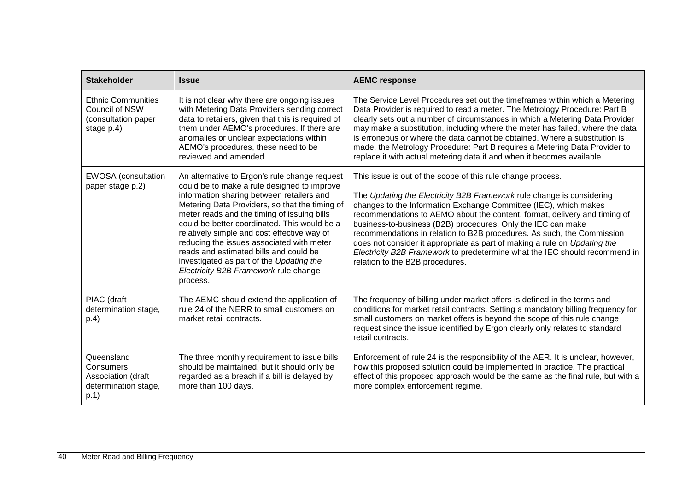| <b>Stakeholder</b>                                                                   | <b>Issue</b>                                                                                                                                                                                                                                                                                                                                                                                                                                                                                                                      | <b>AEMC response</b>                                                                                                                                                                                                                                                                                                                                                                                                                                                                                                                                                                                                          |
|--------------------------------------------------------------------------------------|-----------------------------------------------------------------------------------------------------------------------------------------------------------------------------------------------------------------------------------------------------------------------------------------------------------------------------------------------------------------------------------------------------------------------------------------------------------------------------------------------------------------------------------|-------------------------------------------------------------------------------------------------------------------------------------------------------------------------------------------------------------------------------------------------------------------------------------------------------------------------------------------------------------------------------------------------------------------------------------------------------------------------------------------------------------------------------------------------------------------------------------------------------------------------------|
| <b>Ethnic Communities</b><br>Council of NSW<br>(consultation paper<br>stage p.4)     | It is not clear why there are ongoing issues<br>with Metering Data Providers sending correct<br>data to retailers, given that this is required of<br>them under AEMO's procedures. If there are<br>anomalies or unclear expectations within<br>AEMO's procedures, these need to be<br>reviewed and amended.                                                                                                                                                                                                                       | The Service Level Procedures set out the timeframes within which a Metering<br>Data Provider is required to read a meter. The Metrology Procedure: Part B<br>clearly sets out a number of circumstances in which a Metering Data Provider<br>may make a substitution, including where the meter has failed, where the data<br>is erroneous or where the data cannot be obtained. Where a substitution is<br>made, the Metrology Procedure: Part B requires a Metering Data Provider to<br>replace it with actual metering data if and when it becomes available.                                                              |
| <b>EWOSA</b> (consultation<br>paper stage p.2)                                       | An alternative to Ergon's rule change request<br>could be to make a rule designed to improve<br>information sharing between retailers and<br>Metering Data Providers, so that the timing of<br>meter reads and the timing of issuing bills<br>could be better coordinated. This would be a<br>relatively simple and cost effective way of<br>reducing the issues associated with meter<br>reads and estimated bills and could be<br>investigated as part of the Updating the<br>Electricity B2B Framework rule change<br>process. | This issue is out of the scope of this rule change process.<br>The Updating the Electricity B2B Framework rule change is considering<br>changes to the Information Exchange Committee (IEC), which makes<br>recommendations to AEMO about the content, format, delivery and timing of<br>business-to-business (B2B) procedures. Only the IEC can make<br>recommendations in relation to B2B procedures. As such, the Commission<br>does not consider it appropriate as part of making a rule on Updating the<br>Electricity B2B Framework to predetermine what the IEC should recommend in<br>relation to the B2B procedures. |
| PIAC (draft<br>determination stage,<br>p.4)                                          | The AEMC should extend the application of<br>rule 24 of the NERR to small customers on<br>market retail contracts.                                                                                                                                                                                                                                                                                                                                                                                                                | The frequency of billing under market offers is defined in the terms and<br>conditions for market retail contracts. Setting a mandatory billing frequency for<br>small customers on market offers is beyond the scope of this rule change<br>request since the issue identified by Ergon clearly only relates to standard<br>retail contracts.                                                                                                                                                                                                                                                                                |
| Queensland<br><b>Consumers</b><br>Association (draft<br>determination stage,<br>p.1) | The three monthly requirement to issue bills<br>should be maintained, but it should only be<br>regarded as a breach if a bill is delayed by<br>more than 100 days.                                                                                                                                                                                                                                                                                                                                                                | Enforcement of rule 24 is the responsibility of the AER. It is unclear, however,<br>how this proposed solution could be implemented in practice. The practical<br>effect of this proposed approach would be the same as the final rule, but with a<br>more complex enforcement regime.                                                                                                                                                                                                                                                                                                                                        |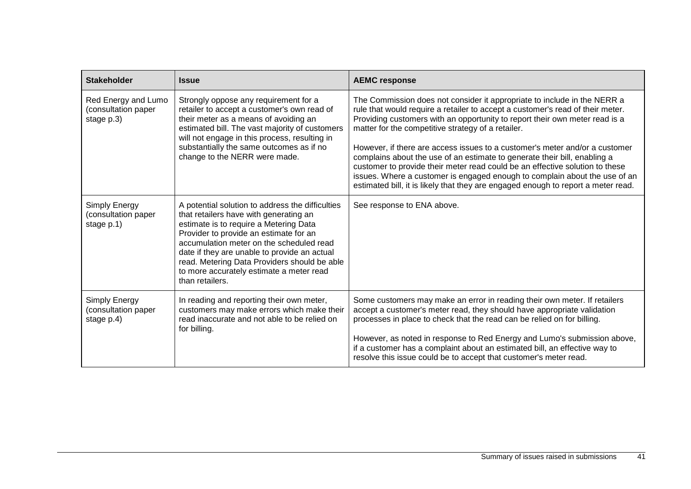| <b>Stakeholder</b>                                       | <b>Issue</b>                                                                                                                                                                                                                                                                                                                                                                              | <b>AEMC response</b>                                                                                                                                                                                                                                                                                                                                                                                                                                                                                                                                                                                                                                                                                           |
|----------------------------------------------------------|-------------------------------------------------------------------------------------------------------------------------------------------------------------------------------------------------------------------------------------------------------------------------------------------------------------------------------------------------------------------------------------------|----------------------------------------------------------------------------------------------------------------------------------------------------------------------------------------------------------------------------------------------------------------------------------------------------------------------------------------------------------------------------------------------------------------------------------------------------------------------------------------------------------------------------------------------------------------------------------------------------------------------------------------------------------------------------------------------------------------|
| Red Energy and Lumo<br>(consultation paper<br>stage p.3) | Strongly oppose any requirement for a<br>retailer to accept a customer's own read of<br>their meter as a means of avoiding an<br>estimated bill. The vast majority of customers<br>will not engage in this process, resulting in<br>substantially the same outcomes as if no<br>change to the NERR were made.                                                                             | The Commission does not consider it appropriate to include in the NERR a<br>rule that would require a retailer to accept a customer's read of their meter.<br>Providing customers with an opportunity to report their own meter read is a<br>matter for the competitive strategy of a retailer.<br>However, if there are access issues to a customer's meter and/or a customer<br>complains about the use of an estimate to generate their bill, enabling a<br>customer to provide their meter read could be an effective solution to these<br>issues. Where a customer is engaged enough to complain about the use of an<br>estimated bill, it is likely that they are engaged enough to report a meter read. |
| Simply Energy<br>(consultation paper<br>stage p.1)       | A potential solution to address the difficulties<br>that retailers have with generating an<br>estimate is to require a Metering Data<br>Provider to provide an estimate for an<br>accumulation meter on the scheduled read<br>date if they are unable to provide an actual<br>read. Metering Data Providers should be able<br>to more accurately estimate a meter read<br>than retailers. | See response to ENA above.                                                                                                                                                                                                                                                                                                                                                                                                                                                                                                                                                                                                                                                                                     |
| Simply Energy<br>(consultation paper<br>stage p.4)       | In reading and reporting their own meter,<br>customers may make errors which make their<br>read inaccurate and not able to be relied on<br>for billing.                                                                                                                                                                                                                                   | Some customers may make an error in reading their own meter. If retailers<br>accept a customer's meter read, they should have appropriate validation<br>processes in place to check that the read can be relied on for billing.<br>However, as noted in response to Red Energy and Lumo's submission above,<br>if a customer has a complaint about an estimated bill, an effective way to<br>resolve this issue could be to accept that customer's meter read.                                                                                                                                                                                                                                                 |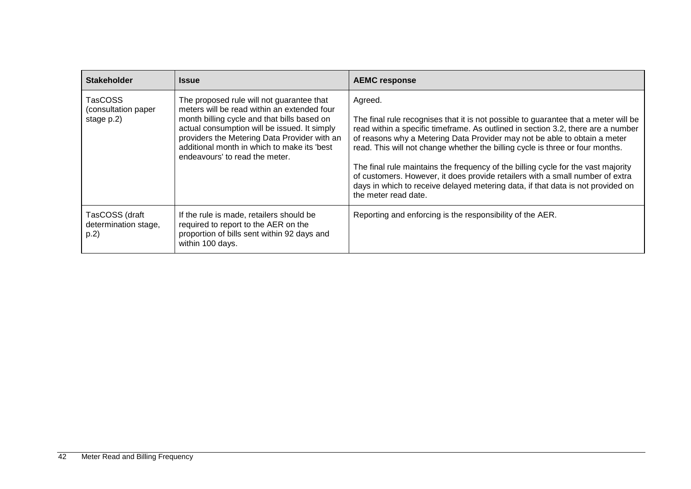| <b>Stakeholder</b>                                  | <b>Issue</b>                                                                                                                                                                                                                                                                                                             | <b>AEMC response</b>                                                                                                                                                                                                                                                                                                                                                                                                                                                                                                                                                                                                              |
|-----------------------------------------------------|--------------------------------------------------------------------------------------------------------------------------------------------------------------------------------------------------------------------------------------------------------------------------------------------------------------------------|-----------------------------------------------------------------------------------------------------------------------------------------------------------------------------------------------------------------------------------------------------------------------------------------------------------------------------------------------------------------------------------------------------------------------------------------------------------------------------------------------------------------------------------------------------------------------------------------------------------------------------------|
| <b>TasCOSS</b><br>(consultation paper<br>stage p.2) | The proposed rule will not guarantee that<br>meters will be read within an extended four<br>month billing cycle and that bills based on<br>actual consumption will be issued. It simply<br>providers the Metering Data Provider with an<br>additional month in which to make its 'best<br>endeavours' to read the meter. | Agreed.<br>The final rule recognises that it is not possible to guarantee that a meter will be<br>read within a specific timeframe. As outlined in section 3.2, there are a number<br>of reasons why a Metering Data Provider may not be able to obtain a meter<br>read. This will not change whether the billing cycle is three or four months.<br>The final rule maintains the frequency of the billing cycle for the vast majority<br>of customers. However, it does provide retailers with a small number of extra<br>days in which to receive delayed metering data, if that data is not provided on<br>the meter read date. |
| TasCOSS (draft<br>determination stage,<br>p.2)      | If the rule is made, retailers should be<br>required to report to the AER on the<br>proportion of bills sent within 92 days and<br>within 100 days.                                                                                                                                                                      | Reporting and enforcing is the responsibility of the AER.                                                                                                                                                                                                                                                                                                                                                                                                                                                                                                                                                                         |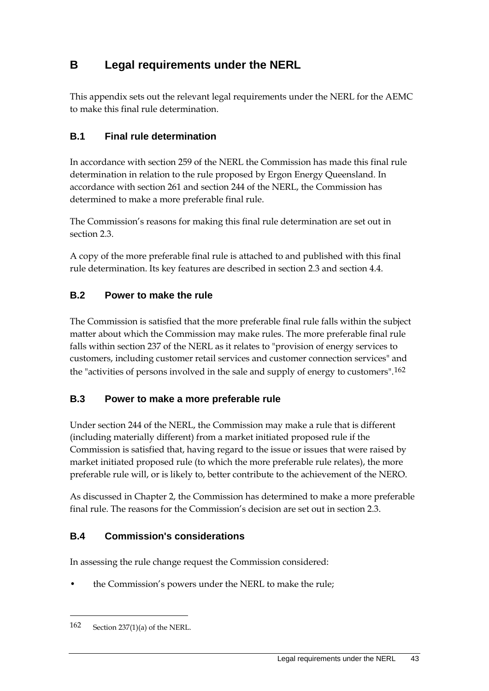## <span id="page-49-0"></span>**B Legal requirements under the NERL**

This appendix sets out the relevant legal requirements under the NERL for the AEMC to make this final rule determination.

### <span id="page-49-1"></span>**B.1 Final rule determination**

In accordance with section 259 of the NERL the Commission has made this final rule determination in relation to the rule proposed by Ergon Energy Queensland. In accordance with section 261 and section 244 of the NERL, the Commission has determined to make a more preferable final rule.

The Commission's reasons for making this final rule determination are set out in section 2.3.

A copy of the more preferable final rule is attached to and published with this final rule determination. Its key features are described in section 2.3 and section 4.4.

### <span id="page-49-2"></span>**B.2 Power to make the rule**

The Commission is satisfied that the more preferable final rule falls within the subject matter about which the Commission may make rules. The more preferable final rule falls within section 237 of the NERL as it relates to "provision of energy services to customers, including customer retail services and customer connection services" and the "activities of persons involved in the sale and supply of energy to customers".[162](#page-49-5)

### <span id="page-49-3"></span>**B.3 Power to make a more preferable rule**

Under section 244 of the NERL, the Commission may make a rule that is different (including materially different) from a market initiated proposed rule if the Commission is satisfied that, having regard to the issue or issues that were raised by market initiated proposed rule (to which the more preferable rule relates), the more preferable rule will, or is likely to, better contribute to the achievement of the NERO.

As discussed in Chapter 2, the Commission has determined to make a more preferable final rule. The reasons for the Commission's decision are set out in section 2.3.

### <span id="page-49-4"></span>**B.4 Commission's considerations**

In assessing the rule change request the Commission considered:

• the Commission's powers under the NERL to make the rule;

<u>.</u>

<span id="page-49-5"></span><sup>162</sup> Section 237(1)(a) of the NERL.